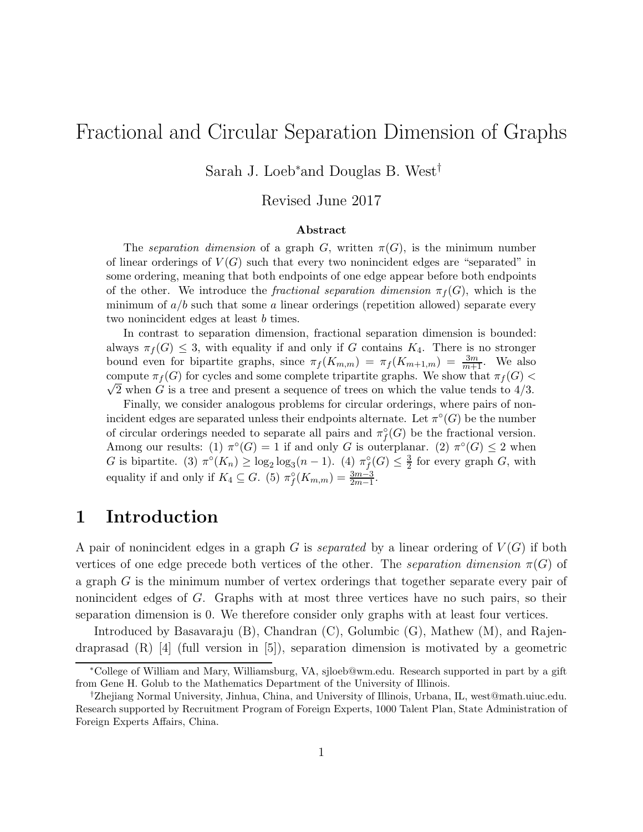## Fractional and Circular Separation Dimension of Graphs

Sarah J. Loeb∗and Douglas B. West†

#### Revised June 2017

#### Abstract

The separation dimension of a graph G, written  $\pi(G)$ , is the minimum number of linear orderings of  $V(G)$  such that every two nonincident edges are "separated" in some ordering, meaning that both endpoints of one edge appear before both endpoints of the other. We introduce the *fractional separation dimension*  $\pi_f(G)$ , which is the minimum of  $a/b$  such that some a linear orderings (repetition allowed) separate every two nonincident edges at least b times.

In contrast to separation dimension, fractional separation dimension is bounded: always  $\pi_f(G) \leq 3$ , with equality if and only if G contains  $K_4$ . There is no stronger bound even for bipartite graphs, since  $\pi_f(K_{m,m}) = \pi_f(K_{m+1,m}) = \frac{3m}{m+1}$ . We also compute  $\pi_f(G)$  for cycles and some complete tripartite graphs. We show that  $\pi_f(G)$  $\sqrt{2}$  when G is a tree and present a sequence of trees on which the value tends to  $4/3$ .

Finally, we consider analogous problems for circular orderings, where pairs of nonincident edges are separated unless their endpoints alternate. Let  $\pi^{\circ}(G)$  be the number of circular orderings needed to separate all pairs and  $\pi_f^{\circ}(G)$  be the fractional version. Among our results: (1)  $\pi^{\circ}(G) = 1$  if and only G is outerplanar. (2)  $\pi^{\circ}(G) \leq 2$  when G is bipartite. (3)  $\pi^{\circ}(K_n) \ge \log_2 \log_3(n-1)$ . (4)  $\pi_f^{\circ}(G) \le \frac{3}{2}$  $\frac{3}{2}$  for every graph G, with equality if and only if  $K_4 \subseteq G$ . (5)  $\pi_f^{\circ}(K_{m,m}) = \frac{3m-3}{2m-1}$ .

## 1 Introduction

A pair of nonincident edges in a graph  $G$  is *separated* by a linear ordering of  $V(G)$  if both vertices of one edge precede both vertices of the other. The *separation dimension*  $\pi(G)$  of a graph G is the minimum number of vertex orderings that together separate every pair of nonincident edges of G. Graphs with at most three vertices have no such pairs, so their separation dimension is 0. We therefore consider only graphs with at least four vertices.

Introduced by Basavaraju (B), Chandran (C), Golumbic (G), Mathew (M), and Rajendraprasad  $(R)$  [4] (full version in [5]), separation dimension is motivated by a geometric

<sup>∗</sup>College of William and Mary, Williamsburg, VA, sjloeb@wm.edu. Research supported in part by a gift from Gene H. Golub to the Mathematics Department of the University of Illinois.

<sup>†</sup>Zhejiang Normal University, Jinhua, China, and University of Illinois, Urbana, IL, west@math.uiuc.edu. Research supported by Recruitment Program of Foreign Experts, 1000 Talent Plan, State Administration of Foreign Experts Affairs, China.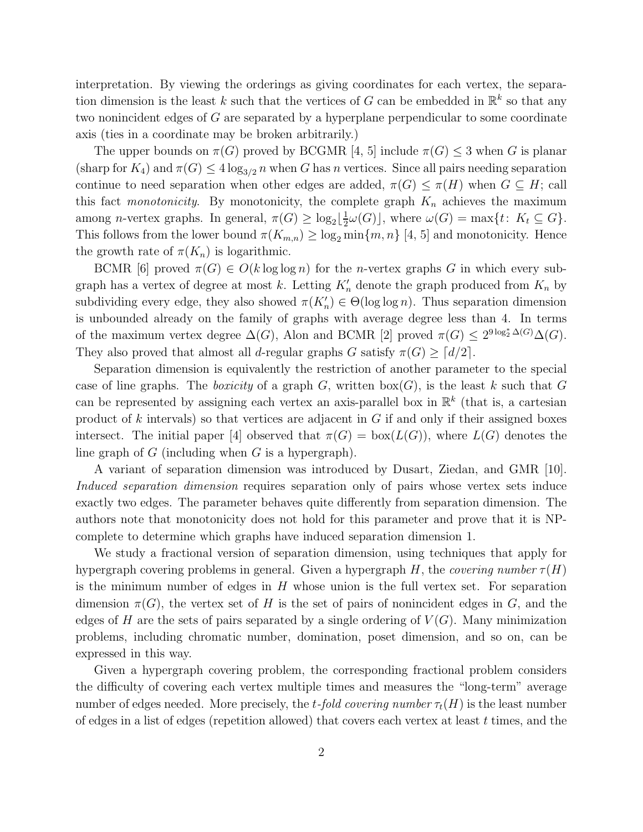interpretation. By viewing the orderings as giving coordinates for each vertex, the separation dimension is the least k such that the vertices of G can be embedded in  $\mathbb{R}^k$  so that any two nonincident edges of G are separated by a hyperplane perpendicular to some coordinate axis (ties in a coordinate may be broken arbitrarily.)

The upper bounds on  $\pi(G)$  proved by BCGMR [4, 5] include  $\pi(G) \leq 3$  when G is planar (sharp for  $K_4$ ) and  $\pi(G) \leq 4 \log_{3/2} n$  when G has n vertices. Since all pairs needing separation continue to need separation when other edges are added,  $\pi(G) \leq \pi(H)$  when  $G \subseteq H$ ; call this fact *monotonicity*. By monotonicity, the complete graph  $K_n$  achieves the maximum among *n*-vertex graphs. In general,  $\pi(G) \geq \log_2\lfloor \frac{1}{2} \rfloor$  $\frac{1}{2}\omega(G)$ , where  $\omega(G) = \max\{t: K_t \subseteq G\}.$ This follows from the lower bound  $\pi(K_{m,n}) \geq \log_2 \min\{m, n\}$  [4, 5] and monotonicity. Hence the growth rate of  $\pi(K_n)$  is logarithmic.

BCMR [6] proved  $\pi(G) \in O(k \log \log n)$  for the *n*-vertex graphs G in which every subgraph has a vertex of degree at most k. Letting  $K'_n$  denote the graph produced from  $K_n$  by subdividing every edge, they also showed  $\pi(K'_n) \in \Theta(\log \log n)$ . Thus separation dimension is unbounded already on the family of graphs with average degree less than 4. In terms of the maximum vertex degree  $\Delta(G)$ , Alon and BCMR [2] proved  $\pi(G) \leq 2^{9 \log_2^* \Delta(G)} \Delta(G)$ . They also proved that almost all d-regular graphs G satisfy  $\pi(G) \geq \lceil d/2 \rceil$ .

Separation dimension is equivalently the restriction of another parameter to the special case of line graphs. The *boxicity* of a graph  $G$ , written  $b\alpha(G)$ , is the least k such that G can be represented by assigning each vertex an axis-parallel box in  $\mathbb{R}^k$  (that is, a cartesian product of  $k$  intervals) so that vertices are adjacent in  $G$  if and only if their assigned boxes intersect. The initial paper [4] observed that  $\pi(G) = \text{box}(L(G))$ , where  $L(G)$  denotes the line graph of  $G$  (including when  $G$  is a hypergraph).

A variant of separation dimension was introduced by Dusart, Ziedan, and GMR [10]. *Induced separation dimension* requires separation only of pairs whose vertex sets induce exactly two edges. The parameter behaves quite differently from separation dimension. The authors note that monotonicity does not hold for this parameter and prove that it is NPcomplete to determine which graphs have induced separation dimension 1.

We study a fractional version of separation dimension, using techniques that apply for hypergraph covering problems in general. Given a hypergraph  $H$ , the *covering number*  $\tau(H)$ is the minimum number of edges in  $H$  whose union is the full vertex set. For separation dimension  $\pi(G)$ , the vertex set of H is the set of pairs of nonincident edges in G, and the edges of H are the sets of pairs separated by a single ordering of  $V(G)$ . Many minimization problems, including chromatic number, domination, poset dimension, and so on, can be expressed in this way.

Given a hypergraph covering problem, the corresponding fractional problem considers the difficulty of covering each vertex multiple times and measures the "long-term" average number of edges needed. More precisely, the t-fold covering number  $\tau_t(H)$  is the least number of edges in a list of edges (repetition allowed) that covers each vertex at least  $t$  times, and the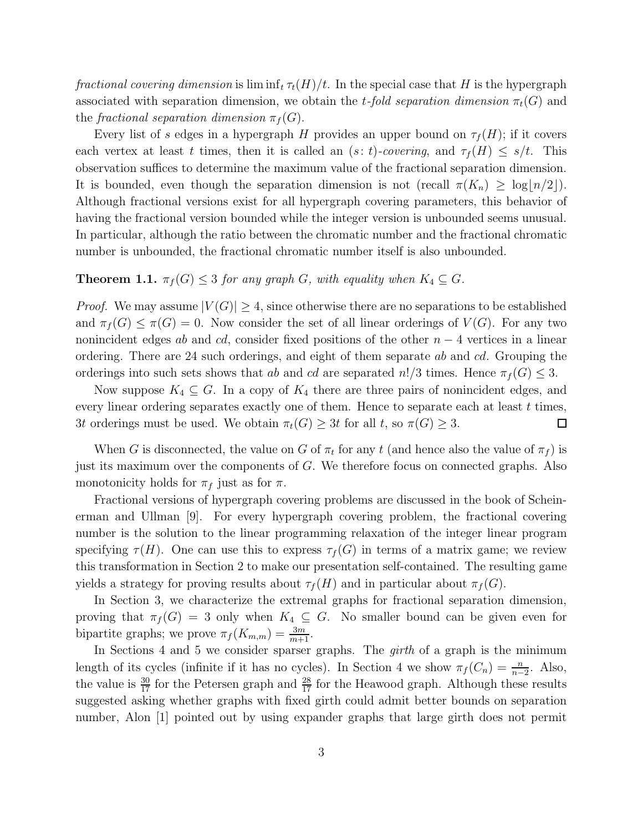*fractional covering dimension* is lim inf<sub>t</sub>  $\tau_t(H)/t$ . In the special case that H is the hypergraph associated with separation dimension, we obtain the t-fold separation dimension  $\pi_t(G)$  and the *fractional separation dimension*  $\pi_f(G)$ .

Every list of s edges in a hypergraph H provides an upper bound on  $\tau_f(H)$ ; if it covers each vertex at least t times, then it is called an  $(s: t)$ *-covering*, and  $\tau_f(H) \leq s/t$ . This observation suffices to determine the maximum value of the fractional separation dimension. It is bounded, even though the separation dimension is not (recall  $\pi(K_n) \geq \log(n/2)$ ). Although fractional versions exist for all hypergraph covering parameters, this behavior of having the fractional version bounded while the integer version is unbounded seems unusual. In particular, although the ratio between the chromatic number and the fractional chromatic number is unbounded, the fractional chromatic number itself is also unbounded.

#### **Theorem 1.1.**  $\pi_f(G) \leq 3$  *for any graph G, with equality when*  $K_4 \subseteq G$ *.*

*Proof.* We may assume  $|V(G)| \geq 4$ , since otherwise there are no separations to be established and  $\pi_f(G) \leq \pi(G) = 0$ . Now consider the set of all linear orderings of  $V(G)$ . For any two nonincident edges ab and cd, consider fixed positions of the other  $n-4$  vertices in a linear ordering. There are 24 such orderings, and eight of them separate ab and cd. Grouping the orderings into such sets shows that ab and cd are separated  $n!/3$  times. Hence  $\pi_f(G) \leq 3$ .

Now suppose  $K_4 \subseteq G$ . In a copy of  $K_4$  there are three pairs of nonincident edges, and every linear ordering separates exactly one of them. Hence to separate each at least  $t$  times, 3t orderings must be used. We obtain  $\pi_t(G) > 3t$  for all t, so  $\pi(G) > 3$ . □

When G is disconnected, the value on G of  $\pi_t$  for any t (and hence also the value of  $\pi_f$ ) is just its maximum over the components of G. We therefore focus on connected graphs. Also monotonicity holds for  $\pi_f$  just as for  $\pi$ .

Fractional versions of hypergraph covering problems are discussed in the book of Scheinerman and Ullman [9]. For every hypergraph covering problem, the fractional covering number is the solution to the linear programming relaxation of the integer linear program specifying  $\tau(H)$ . One can use this to express  $\tau_f(G)$  in terms of a matrix game; we review this transformation in Section 2 to make our presentation self-contained. The resulting game yields a strategy for proving results about  $\tau_f(H)$  and in particular about  $\pi_f(G)$ .

In Section 3, we characterize the extremal graphs for fractional separation dimension, proving that  $\pi_f(G) = 3$  only when  $K_4 \subseteq G$ . No smaller bound can be given even for bipartite graphs; we prove  $\pi_f(K_{m,m}) = \frac{3m}{m+1}$ .

In Sections 4 and 5 we consider sparser graphs. The *girth* of a graph is the minimum length of its cycles (infinite if it has no cycles). In Section 4 we show  $\pi_f(C_n) = \frac{n}{n-2}$ . Also, the value is  $\frac{30}{17}$  for the Petersen graph and  $\frac{28}{17}$  for the Heawood graph. Although these results suggested asking whether graphs with fixed girth could admit better bounds on separation number, Alon [1] pointed out by using expander graphs that large girth does not permit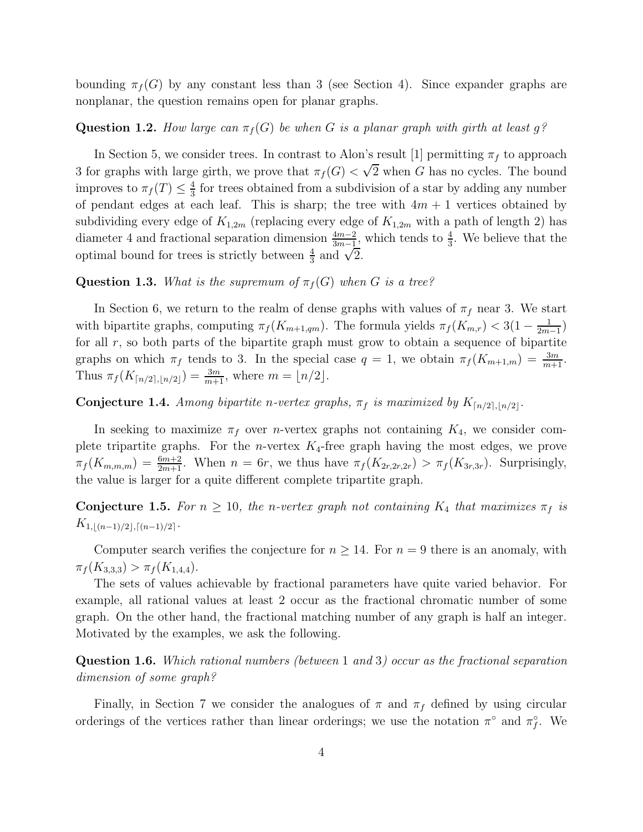bounding  $\pi_f(G)$  by any constant less than 3 (see Section 4). Since expander graphs are nonplanar, the question remains open for planar graphs.

#### **Question 1.2.** How large can  $\pi_f(G)$  be when G is a planar graph with girth at least g?

In Section 5, we consider trees. In contrast to Alon's result [1] permitting  $\pi_f$  to approach 3 for graphs with large girth, we prove that  $\pi_f(G) < \sqrt{2}$  when G has no cycles. The bound improves to  $\pi_f(T) \leq \frac{4}{3}$  $\frac{4}{3}$  for trees obtained from a subdivision of a star by adding any number of pendant edges at each leaf. This is sharp; the tree with  $4m + 1$  vertices obtained by subdividing every edge of  $K_{1,2m}$  (replacing every edge of  $K_{1,2m}$  with a path of length 2) has diameter 4 and fractional separation dimension  $\frac{4m-2}{3m-1}$ , which tends to  $\frac{4}{3}$ . We believe that the optimal bound for trees is strictly between  $\frac{4}{3}$  and  $\sqrt{2}$ .

#### **Question 1.3.** *What is the supremum of*  $\pi_f(G)$  *when* G *is a tree?*

In Section 6, we return to the realm of dense graphs with values of  $\pi_f$  near 3. We start with bipartite graphs, computing  $\pi_f(K_{m+1,qm})$ . The formula yields  $\pi_f(K_{m,r}) < 3(1 - \frac{1}{2m})$  $rac{1}{2m-1}$ for all  $r$ , so both parts of the bipartite graph must grow to obtain a sequence of bipartite graphs on which  $\pi_f$  tends to 3. In the special case  $q = 1$ , we obtain  $\pi_f(K_{m+1,m}) = \frac{3m}{m+1}$ . Thus  $\pi_f(K_{\lceil n/2 \rceil, \lfloor n/2 \rfloor}) = \frac{3m}{m+1}$ , where  $m = \lfloor n/2 \rfloor$ .

#### **Conjecture 1.4.** *Among bipartite n*-vertex graphs,  $\pi_f$  is maximized by  $K_{\lceil n/2 \rceil, \lfloor n/2 \rfloor}$ .

In seeking to maximize  $\pi_f$  over *n*-vertex graphs not containing  $K_4$ , we consider complete tripartite graphs. For the *n*-vertex  $K_4$ -free graph having the most edges, we prove  $\pi_f(K_{m,m,m}) = \frac{6m+2}{2m+1}$ . When  $n = 6r$ , we thus have  $\pi_f(K_{2r,2r,2r}) > \pi_f(K_{3r,3r})$ . Surprisingly, the value is larger for a quite different complete tripartite graph.

**Conjecture 1.5.** For  $n \geq 10$ , the *n*-vertex graph not containing  $K_4$  that maximizes  $\pi_f$  is  $K_{1,\lfloor (n-1)/2 \rfloor, \lceil (n-1)/2 \rceil}$ .

Computer search verifies the conjecture for  $n \geq 14$ . For  $n = 9$  there is an anomaly, with  $\pi_f (K_{3,3,3}) > \pi_f (K_{1,4,4}).$ 

The sets of values achievable by fractional parameters have quite varied behavior. For example, all rational values at least 2 occur as the fractional chromatic number of some graph. On the other hand, the fractional matching number of any graph is half an integer. Motivated by the examples, we ask the following.

Question 1.6. *Which rational numbers (between* 1 *and* 3*) occur as the fractional separation dimension of some graph?*

Finally, in Section 7 we consider the analogues of  $\pi$  and  $\pi_f$  defined by using circular orderings of the vertices rather than linear orderings; we use the notation  $\pi^{\circ}$  and  $\pi^{\circ}_{f}$ . We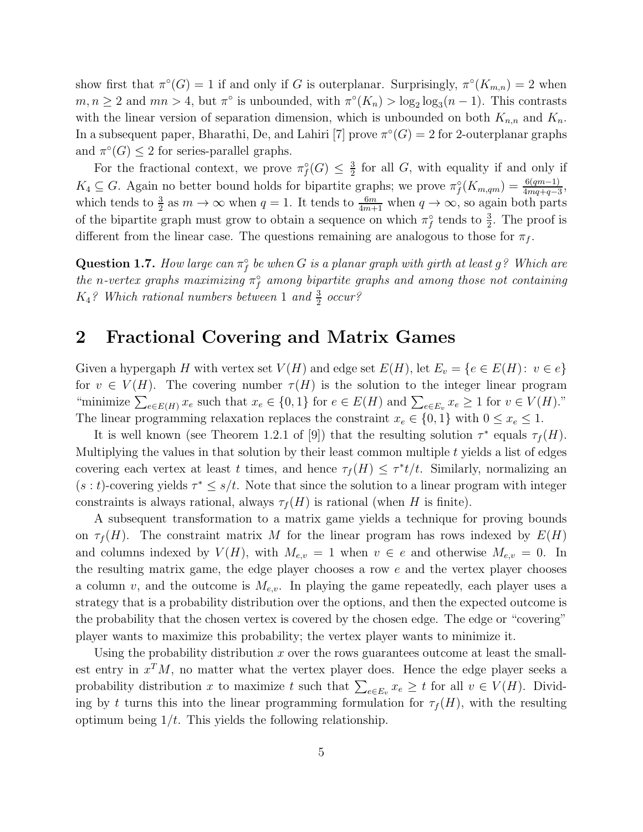show first that  $\pi^{\circ}(G) = 1$  if and only if G is outerplanar. Surprisingly,  $\pi^{\circ}(K_{m,n}) = 2$  when  $m, n \geq 2$  and  $mn > 4$ , but  $\pi^{\circ}$  is unbounded, with  $\pi^{\circ}(K_n) > \log_2 \log_3 (n-1)$ . This contrasts with the linear version of separation dimension, which is unbounded on both  $K_{n,n}$  and  $K_n$ . In a subsequent paper, Bharathi, De, and Lahiri [7] prove  $\pi^{\circ}(G) = 2$  for 2-outerplanar graphs and  $\pi^{\circ}(G) \leq 2$  for series-parallel graphs.

For the fractional context, we prove  $\pi_f^{\circ}(G) \leq \frac{3}{2}$  $\frac{3}{2}$  for all G, with equality if and only if  $K_4 \subseteq G$ . Again no better bound holds for bipartite graphs; we prove  $\pi_f^{\circ}(K_{m,qm}) = \frac{6(qm-1)}{4mq+q-3}$ , which tends to  $\frac{3}{2}$  as  $m \to \infty$  when  $q = 1$ . It tends to  $\frac{6m}{4m+1}$  when  $q \to \infty$ , so again both parts of the bipartite graph must grow to obtain a sequence on which  $\pi_f^{\circ}$  tends to  $\frac{3}{2}$ . The proof is different from the linear case. The questions remaining are analogous to those for  $\pi_f$ .

 $\bf{Question~1.7.}$  *How large can*  $\pi_f^{\circ}$  *be when*  $G$  *is a planar graph with girth at least*  $g$  ? Which are  $the$  n-vertex graphs maximizing  $\pi_f^{\circ}$  among bipartite graphs and among those not containing  $K_4$ ? Which rational numbers between 1 and  $\frac{3}{2}$  occur?

### 2 Fractional Covering and Matrix Games

Given a hypergaph H with vertex set  $V(H)$  and edge set  $E(H)$ , let  $E_v = \{e \in E(H): v \in e\}$ for  $v \in V(H)$ . The covering number  $\tau(H)$  is the solution to the integer linear program "minimize  $\sum_{e \in E(H)} x_e$  such that  $x_e \in \{0,1\}$  for  $e \in E(H)$  and  $\sum_{e \in E_v} x_e \ge 1$  for  $v \in V(H)$ ." The linear programming relaxation replaces the constraint  $x_e \in \{0, 1\}$  with  $0 \le x_e \le 1$ .

It is well known (see Theorem 1.2.1 of [9]) that the resulting solution  $\tau^*$  equals  $\tau_f(H)$ . Multiplying the values in that solution by their least common multiple  $t$  yields a list of edges covering each vertex at least t times, and hence  $\tau_f(H) \leq \tau^*t/t$ . Similarly, normalizing an  $(s : t)$ -covering yields  $\tau^* \leq s/t$ . Note that since the solution to a linear program with integer constraints is always rational, always  $\tau_f(H)$  is rational (when H is finite).

A subsequent transformation to a matrix game yields a technique for proving bounds on  $\tau_f(H)$ . The constraint matrix M for the linear program has rows indexed by  $E(H)$ and columns indexed by  $V(H)$ , with  $M_{e,v} = 1$  when  $v \in e$  and otherwise  $M_{e,v} = 0$ . In the resulting matrix game, the edge player chooses a row e and the vertex player chooses a column v, and the outcome is  $M_{e,v}$ . In playing the game repeatedly, each player uses a strategy that is a probability distribution over the options, and then the expected outcome is the probability that the chosen vertex is covered by the chosen edge. The edge or "covering" player wants to maximize this probability; the vertex player wants to minimize it.

Using the probability distribution  $x$  over the rows guarantees outcome at least the smallest entry in  $x^T M$ , no matter what the vertex player does. Hence the edge player seeks a probability distribution x to maximize t such that  $\sum_{e \in E_v} x_e \geq t$  for all  $v \in V(H)$ . Dividing by t turns this into the linear programming formulation for  $\tau_f(H)$ , with the resulting optimum being  $1/t$ . This yields the following relationship.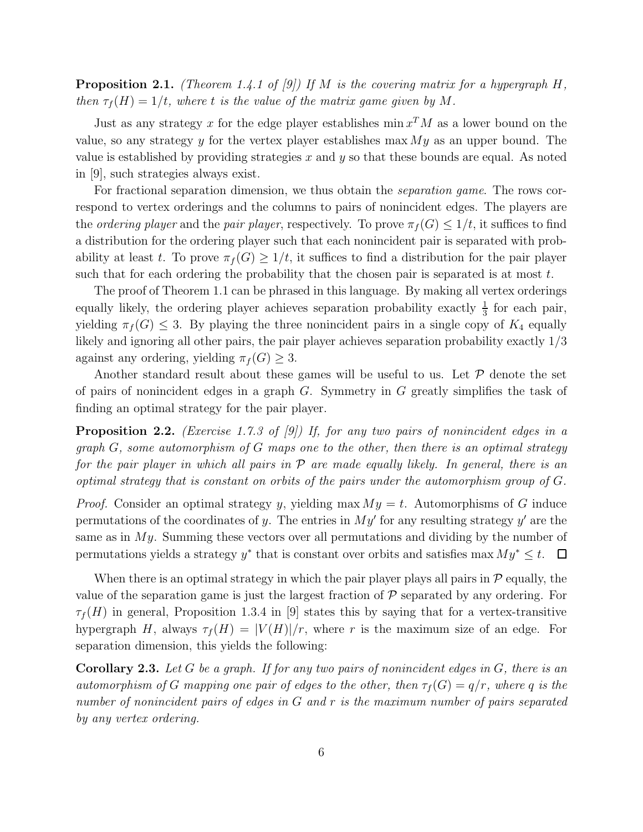Proposition 2.1. *(Theorem 1.4.1 of [9]) If* M *is the covering matrix for a hypergraph* H*, then*  $\tau_f(H) = 1/t$ *, where t is the value of the matrix game given by* M.

Just as any strategy x for the edge player establishes  $\min x^T M$  as a lower bound on the value, so any strategy y for the vertex player establishes max  $My$  as an upper bound. The value is established by providing strategies x and  $y$  so that these bounds are equal. As noted in [9], such strategies always exist.

For fractional separation dimension, we thus obtain the *separation game*. The rows correspond to vertex orderings and the columns to pairs of nonincident edges. The players are the *ordering player* and the *pair player*, respectively. To prove  $\pi_f(G) \leq 1/t$ , it suffices to find a distribution for the ordering player such that each nonincident pair is separated with probability at least t. To prove  $\pi_f(G) \geq 1/t$ , it suffices to find a distribution for the pair player such that for each ordering the probability that the chosen pair is separated is at most  $t$ .

The proof of Theorem 1.1 can be phrased in this language. By making all vertex orderings equally likely, the ordering player achieves separation probability exactly  $\frac{1}{3}$  for each pair, yielding  $\pi_f(G) \leq 3$ . By playing the three nonincident pairs in a single copy of  $K_4$  equally likely and ignoring all other pairs, the pair player achieves separation probability exactly 1/3 against any ordering, yielding  $\pi_f(G) \geq 3$ .

Another standard result about these games will be useful to us. Let  $P$  denote the set of pairs of nonincident edges in a graph  $G$ . Symmetry in  $G$  greatly simplifies the task of finding an optimal strategy for the pair player.

Proposition 2.2. *(Exercise 1.7.3 of [9]) If, for any two pairs of nonincident edges in a graph* G*, some automorphism of* G *maps one to the other, then there is an optimal strategy for the pair player in which all pairs in* P *are made equally likely. In general, there is an optimal strategy that is constant on orbits of the pairs under the automorphism group of* G*.*

*Proof.* Consider an optimal strategy y, yielding max  $My = t$ . Automorphisms of G induce permutations of the coordinates of y. The entries in  $My'$  for any resulting strategy  $y'$  are the same as in  $My$ . Summing these vectors over all permutations and dividing by the number of permutations yields a strategy  $y^*$  that is constant over orbits and satisfies max  $My^* \leq t$ .  $\Box$ 

When there is an optimal strategy in which the pair player plays all pairs in  $\mathcal P$  equally, the value of the separation game is just the largest fraction of  $\mathcal P$  separated by any ordering. For  $\tau_f(H)$  in general, Proposition 1.3.4 in [9] states this by saying that for a vertex-transitive hypergraph H, always  $\tau_f(H) = |V(H)|/r$ , where r is the maximum size of an edge. For separation dimension, this yields the following:

Corollary 2.3. *Let* G *be a graph. If for any two pairs of nonincident edges in* G*, there is an automorphism of* G mapping one pair of edges to the other, then  $\tau_f(G) = q/r$ , where q is the *number of nonincident pairs of edges in* G *and* r *is the maximum number of pairs separated by any vertex ordering.*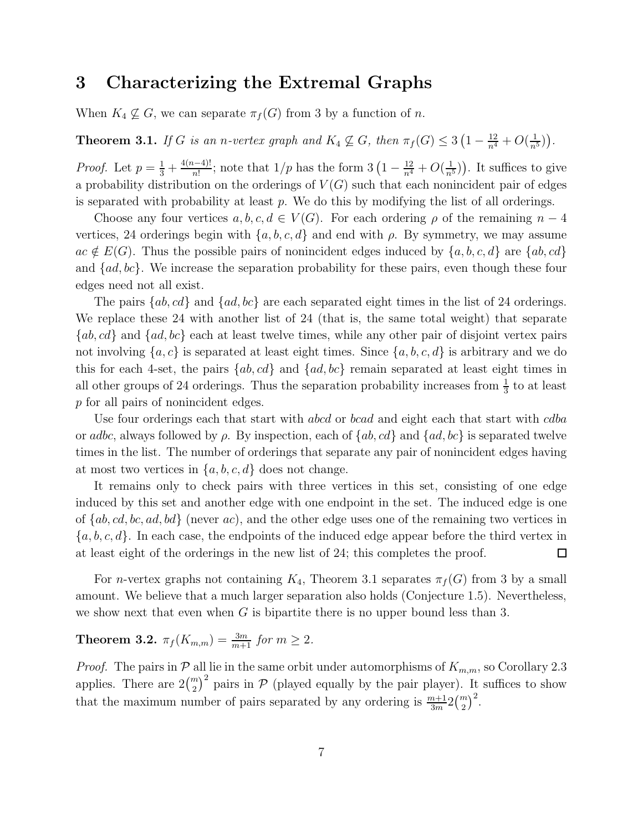### 3 Characterizing the Extremal Graphs

When  $K_4 \nsubseteq G$ , we can separate  $\pi_f(G)$  from 3 by a function of n.

**Theorem 3.1.** *If* G *is an n-vertex graph and*  $K_4 \not\subseteq G$ *, then*  $\pi_f(G) \leq 3\left(1 - \frac{12}{n^4} + O(\frac{1}{n^5})\right)$ *.* 

*Proof.* Let  $p = \frac{1}{3} + \frac{4(n-4)!}{n!}$ ; note that  $1/p$  has the form  $3(1 - \frac{12}{n^4} + O(\frac{1}{n^5}))$ . It suffices to give a probability distribution on the orderings of  $V(G)$  such that each nonincident pair of edges is separated with probability at least  $p$ . We do this by modifying the list of all orderings.

Choose any four vertices  $a, b, c, d \in V(G)$ . For each ordering  $\rho$  of the remaining  $n-4$ vertices, 24 orderings begin with  $\{a, b, c, d\}$  and end with  $\rho$ . By symmetry, we may assume  $ac \notin E(G)$ . Thus the possible pairs of nonincident edges induced by  $\{a, b, c, d\}$  are  $\{ab, cd\}$ and  $\{ad, bc\}$ . We increase the separation probability for these pairs, even though these four edges need not all exist.

The pairs  $\{ab, cd\}$  and  $\{ad, bc\}$  are each separated eight times in the list of 24 orderings. We replace these 24 with another list of 24 (that is, the same total weight) that separate  $\{ab, cd\}$  and  $\{ad, bc\}$  each at least twelve times, while any other pair of disjoint vertex pairs not involving  $\{a, c\}$  is separated at least eight times. Since  $\{a, b, c, d\}$  is arbitrary and we do this for each 4-set, the pairs  $\{ab, cd\}$  and  $\{ad, bc\}$  remain separated at least eight times in all other groups of 24 orderings. Thus the separation probability increases from  $\frac{1}{3}$  to at least p for all pairs of nonincident edges.

Use four orderings each that start with abcd or boad and eight each that start with cdba or adbc, always followed by  $\rho$ . By inspection, each of  $\{ab, cd\}$  and  $\{ad, bc\}$  is separated twelve times in the list. The number of orderings that separate any pair of nonincident edges having at most two vertices in  $\{a, b, c, d\}$  does not change.

It remains only to check pairs with three vertices in this set, consisting of one edge induced by this set and another edge with one endpoint in the set. The induced edge is one of  $\{ab, cd, bc, ad, bd\}$  (never ac), and the other edge uses one of the remaining two vertices in  ${a, b, c, d}$ . In each case, the endpoints of the induced edge appear before the third vertex in at least eight of the orderings in the new list of 24; this completes the proof.  $\Box$ 

For *n*-vertex graphs not containing  $K_4$ , Theorem 3.1 separates  $\pi_f(G)$  from 3 by a small amount. We believe that a much larger separation also holds (Conjecture 1.5). Nevertheless, we show next that even when  $G$  is bipartite there is no upper bound less than 3.

## **Theorem 3.2.**  $\pi_f(K_{m,m}) = \frac{3m}{m+1}$  for  $m \ge 2$ .

*Proof.* The pairs in  $P$  all lie in the same orbit under automorphisms of  $K_{m,m}$ , so Corollary 2.3 applies. There are  $2\binom{m}{2}^2$  pairs in P (played equally by the pair player). It suffices to show that the maximum number of pairs separated by any ordering is  $\frac{m+1}{3m}2\binom{m}{2}^2$ .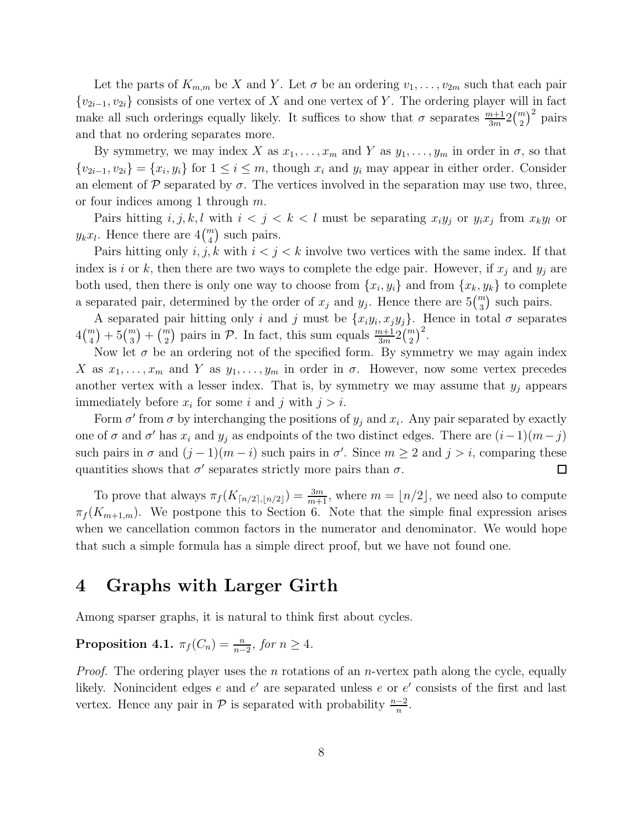Let the parts of  $K_{m,m}$  be X and Y. Let  $\sigma$  be an ordering  $v_1, \ldots, v_{2m}$  such that each pair  ${v_{2i-1}, v_{2i}}$  consists of one vertex of X and one vertex of Y. The ordering player will in fact make all such orderings equally likely. It suffices to show that  $\sigma$  separates  $\frac{m+1}{3m}2\binom{m}{2}^2$  pairs and that no ordering separates more.

By symmetry, we may index X as  $x_1, \ldots, x_m$  and Y as  $y_1, \ldots, y_m$  in order in  $\sigma$ , so that  $\{v_{2i-1}, v_{2i}\} = \{x_i, y_i\}$  for  $1 \leq i \leq m$ , though  $x_i$  and  $y_i$  may appear in either order. Consider an element of  $P$  separated by  $\sigma$ . The vertices involved in the separation may use two, three, or four indices among 1 through  $m$ .

Pairs hitting  $i, j, k, l$  with  $i < j < k < l$  must be separating  $x_i y_j$  or  $y_i x_j$  from  $x_k y_l$  or  $y_k x_l$ . Hence there are  $4\binom{m}{4}$  such pairs.

Pairs hitting only  $i, j, k$  with  $i < j < k$  involve two vertices with the same index. If that index is i or k, then there are two ways to complete the edge pair. However, if  $x_j$  and  $y_j$  are both used, then there is only one way to choose from  $\{x_i, y_i\}$  and from  $\{x_k, y_k\}$  to complete a separated pair, determined by the order of  $x_j$  and  $y_j$ . Hence there are  $5\binom{m}{3}$  such pairs.

A separated pair hitting only i and j must be  $\{x_iy_i, x_jy_j\}$ . Hence in total  $\sigma$  separates  $4\binom{m}{4} + 5\binom{m}{3} + \binom{m}{2}$  pairs in P. In fact, this sum equals  $\frac{m+1}{3m}2\binom{m}{2}^2$ .

Now let  $\sigma$  be an ordering not of the specified form. By symmetry we may again index X as  $x_1, \ldots, x_m$  and Y as  $y_1, \ldots, y_m$  in order in  $\sigma$ . However, now some vertex precedes another vertex with a lesser index. That is, by symmetry we may assume that  $y_j$  appears immediately before  $x_i$  for some i and j with  $j > i$ .

Form  $\sigma'$  from  $\sigma$  by interchanging the positions of  $y_j$  and  $x_i$ . Any pair separated by exactly one of  $\sigma$  and  $\sigma'$  has  $x_i$  and  $y_j$  as endpoints of the two distinct edges. There are  $(i-1)(m-j)$ such pairs in  $\sigma$  and  $(j-1)(m-i)$  such pairs in  $\sigma'$ . Since  $m \geq 2$  and  $j > i$ , comparing these quantities shows that  $\sigma'$  separates strictly more pairs than  $\sigma$ .  $\Box$ 

To prove that always  $\pi_f(K_{\lceil n/2 \rceil, \lfloor n/2 \rfloor}) = \frac{3m}{m+1}$ , where  $m = \lfloor n/2 \rfloor$ , we need also to compute  $\pi_f(K_{m+1,m})$ . We postpone this to Section 6. Note that the simple final expression arises when we cancellation common factors in the numerator and denominator. We would hope that such a simple formula has a simple direct proof, but we have not found one.

### 4 Graphs with Larger Girth

Among sparser graphs, it is natural to think first about cycles.

**Proposition 4.1.**  $\pi_f(C_n) = \frac{n}{n-2}$ , for  $n \ge 4$ .

*Proof.* The ordering player uses the *n* rotations of an *n*-vertex path along the cycle, equally likely. Nonincident edges  $e$  and  $e'$  are separated unless  $e$  or  $e'$  consists of the first and last vertex. Hence any pair in  $\mathcal P$  is separated with probability  $\frac{n-2}{n}$ .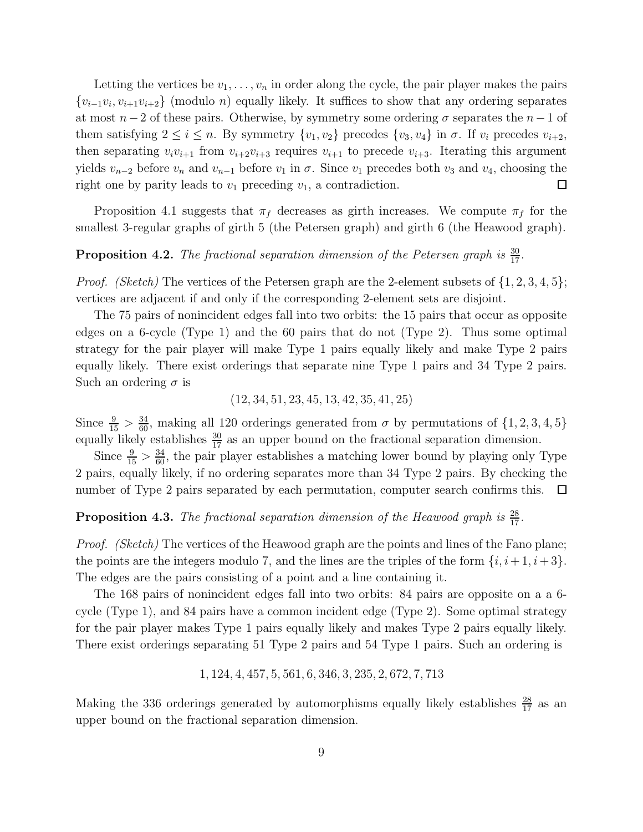Letting the vertices be  $v_1, \ldots, v_n$  in order along the cycle, the pair player makes the pairs  $\{v_{i-1}v_i, v_{i+1}v_{i+2}\}\$  (modulo *n*) equally likely. It suffices to show that any ordering separates at most  $n-2$  of these pairs. Otherwise, by symmetry some ordering  $\sigma$  separates the  $n-1$  of them satisfying  $2 \le i \le n$ . By symmetry  $\{v_1, v_2\}$  precedes  $\{v_3, v_4\}$  in  $\sigma$ . If  $v_i$  precedes  $v_{i+2}$ , then separating  $v_i v_{i+1}$  from  $v_{i+2} v_{i+3}$  requires  $v_{i+1}$  to precede  $v_{i+3}$ . Iterating this argument yields  $v_{n-2}$  before  $v_n$  and  $v_{n-1}$  before  $v_1$  in  $\sigma$ . Since  $v_1$  precedes both  $v_3$  and  $v_4$ , choosing the right one by parity leads to  $v_1$  preceding  $v_1$ , a contradiction.  $\Box$ 

Proposition 4.1 suggests that  $\pi_f$  decreases as girth increases. We compute  $\pi_f$  for the smallest 3-regular graphs of girth 5 (the Petersen graph) and girth 6 (the Heawood graph).

## **Proposition 4.2.** The fractional separation dimension of the Petersen graph is  $\frac{30}{17}$ .

*Proof. (Sketch)* The vertices of the Petersen graph are the 2-element subsets of  $\{1, 2, 3, 4, 5\}$ ; vertices are adjacent if and only if the corresponding 2-element sets are disjoint.

The 75 pairs of nonincident edges fall into two orbits: the 15 pairs that occur as opposite edges on a 6-cycle (Type 1) and the 60 pairs that do not (Type 2). Thus some optimal strategy for the pair player will make Type 1 pairs equally likely and make Type 2 pairs equally likely. There exist orderings that separate nine Type 1 pairs and 34 Type 2 pairs. Such an ordering  $\sigma$  is

(12, 34, 51, 23, 45, 13, 42, 35, 41, 25)

Since  $\frac{9}{15} > \frac{34}{60}$ , making all 120 orderings generated from  $\sigma$  by permutations of  $\{1, 2, 3, 4, 5\}$ equally likely establishes  $\frac{30}{17}$  as an upper bound on the fractional separation dimension.

Since  $\frac{9}{15} > \frac{34}{60}$ , the pair player establishes a matching lower bound by playing only Type 2 pairs, equally likely, if no ordering separates more than 34 Type 2 pairs. By checking the number of Type 2 pairs separated by each permutation, computer search confirms this.  $\Box$ 

**Proposition 4.3.** The fractional separation dimension of the Heawood graph is  $\frac{28}{17}$ .

*Proof. (Sketch)* The vertices of the Heawood graph are the points and lines of the Fano plane; the points are the integers modulo 7, and the lines are the triples of the form  $\{i, i+1, i+3\}$ . The edges are the pairs consisting of a point and a line containing it.

The 168 pairs of nonincident edges fall into two orbits: 84 pairs are opposite on a a 6 cycle (Type 1), and 84 pairs have a common incident edge (Type 2). Some optimal strategy for the pair player makes Type 1 pairs equally likely and makes Type 2 pairs equally likely. There exist orderings separating 51 Type 2 pairs and 54 Type 1 pairs. Such an ordering is

$$
1, 124, 4, 457, 5, 561, 6, 346, 3, 235, 2, 672, 7, 713
$$

Making the 336 orderings generated by automorphisms equally likely establishes  $\frac{28}{17}$  as an upper bound on the fractional separation dimension.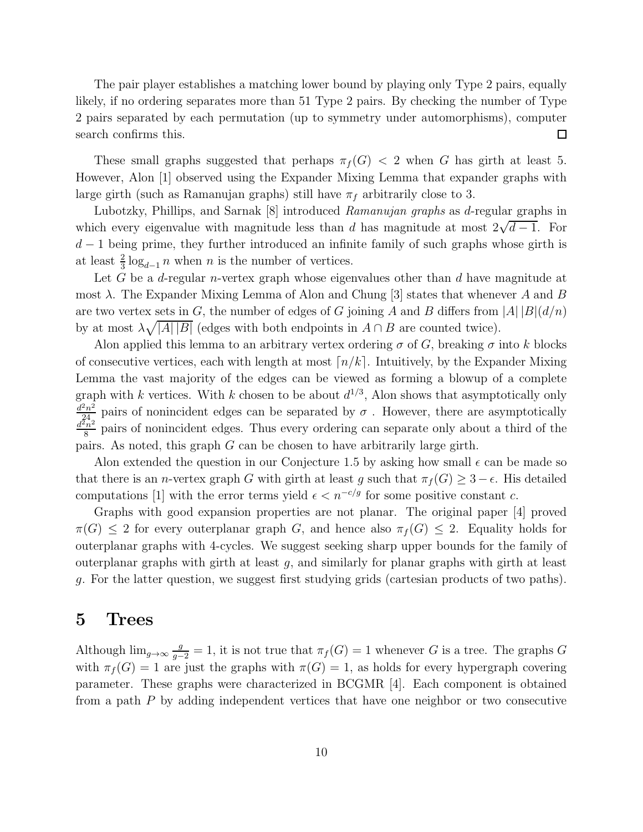The pair player establishes a matching lower bound by playing only Type 2 pairs, equally likely, if no ordering separates more than 51 Type 2 pairs. By checking the number of Type 2 pairs separated by each permutation (up to symmetry under automorphisms), computer search confirms this.  $\Box$ 

These small graphs suggested that perhaps  $\pi_f(G) < 2$  when G has girth at least 5. However, Alon [1] observed using the Expander Mixing Lemma that expander graphs with large girth (such as Ramanujan graphs) still have  $\pi_f$  arbitrarily close to 3.

Lubotzky, Phillips, and Sarnak [8] introduced *Ramanujan graphs* as d-regular graphs in which every eigenvalue with magnitude less than d has magnitude at most  $2\sqrt{d-1}$ . For  $d-1$  being prime, they further introduced an infinite family of such graphs whose girth is at least  $\frac{2}{3} \log_{d-1} n$  when n is the number of vertices.

Let G be a d-regular *n*-vertex graph whose eigenvalues other than  $d$  have magnitude at most  $\lambda$ . The Expander Mixing Lemma of Alon and Chung [3] states that whenever A and B are two vertex sets in G, the number of edges of G joining A and B differs from  $|A||B|(d/n)$ by at most  $\lambda \sqrt{|A| |B|}$  (edges with both endpoints in  $A \cap B$  are counted twice).

Alon applied this lemma to an arbitrary vertex ordering  $\sigma$  of G, breaking  $\sigma$  into k blocks of consecutive vertices, each with length at most  $\lceil n/k \rceil$ . Intuitively, by the Expander Mixing Lemma the vast majority of the edges can be viewed as forming a blowup of a complete graph with k vertices. With k chosen to be about  $d^{1/3}$ , Alon shows that asymptotically only  $\frac{d^2n^2}{24}$  pairs of nonincident edges can be separated by  $\sigma$ . However, there are asymptotically<br> $\frac{d^2n^2}{24}$  pairs of nonincident edges. Thus every erdering can separate only about a third of the  $\frac{n^2}{8}$  pairs of nonincident edges. Thus every ordering can separate only about a third of the pairs. As noted, this graph G can be chosen to have arbitrarily large girth.

Alon extended the question in our Conjecture 1.5 by asking how small  $\epsilon$  can be made so that there is an *n*-vertex graph G with girth at least g such that  $\pi_f(G) \geq 3 - \epsilon$ . His detailed computations [1] with the error terms yield  $\epsilon < n^{-c/g}$  for some positive constant c.

Graphs with good expansion properties are not planar. The original paper [4] proved  $\pi(G) \leq 2$  for every outerplanar graph G, and hence also  $\pi_f(G) \leq 2$ . Equality holds for outerplanar graphs with 4-cycles. We suggest seeking sharp upper bounds for the family of outerplanar graphs with girth at least  $g$ , and similarly for planar graphs with girth at least g. For the latter question, we suggest first studying grids (cartesian products of two paths).

#### 5 Trees

Although  $\lim_{g\to\infty} \frac{g}{g-2} = 1$ , it is not true that  $\pi_f(G) = 1$  whenever G is a tree. The graphs G with  $\pi_f(G) = 1$  are just the graphs with  $\pi(G) = 1$ , as holds for every hypergraph covering parameter. These graphs were characterized in BCGMR [4]. Each component is obtained from a path P by adding independent vertices that have one neighbor or two consecutive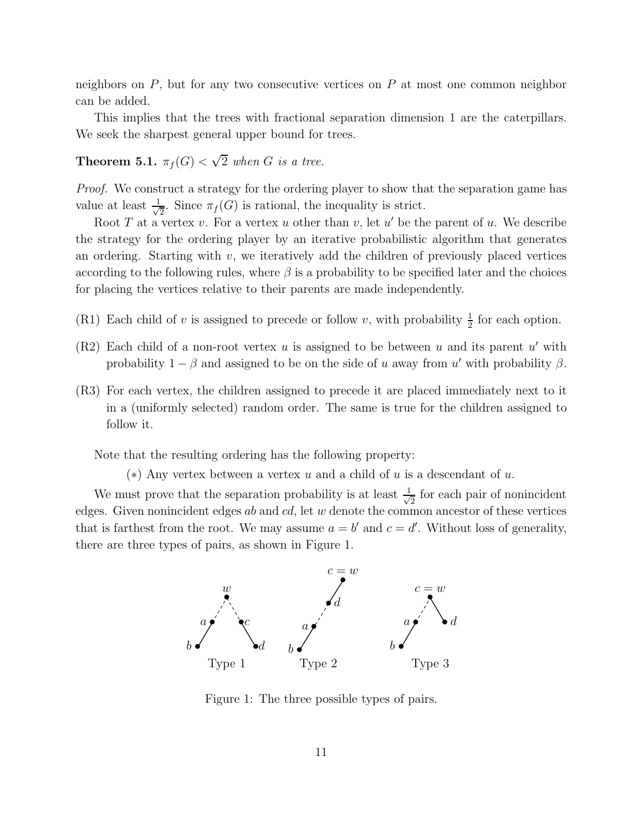neighbors on  $P$ , but for any two consecutive vertices on  $P$  at most one common neighbor can be added.

This implies that the trees with fractional separation dimension 1 are the caterpillars. We seek the sharpest general upper bound for trees.

## **Theorem 5.1.**  $\pi_f(G) < \sqrt{2}$  when G is a tree.

*Proof.* We construct a strategy for the ordering player to show that the separation game has value at least  $\frac{1}{\sqrt{2}}$  $\frac{1}{2}$ . Since  $\pi_f(G)$  is rational, the inequality is strict.

Root T at a vertex v. For a vertex u other than v, let u' be the parent of u. We describe the strategy for the ordering player by an iterative probabilistic algorithm that generates an ordering. Starting with  $v$ , we iteratively add the children of previously placed vertices according to the following rules, where  $\beta$  is a probability to be specified later and the choices for placing the vertices relative to their parents are made independently.

- (R1) Each child of v is assigned to precede or follow v, with probability  $\frac{1}{2}$  for each option.
- $(R2)$  Each child of a non-root vertex u is assigned to be between u and its parent u' with probability  $1 - \beta$  and assigned to be on the side of u away from u' with probability  $\beta$ .
- (R3) For each vertex, the children assigned to precede it are placed immediately next to it in a (uniformly selected) random order. The same is true for the children assigned to follow it.

Note that the resulting ordering has the following property:

 $(*)$  Any vertex between a vertex u and a child of u is a descendant of u.

We must prove that the separation probability is at least  $\frac{1}{\sqrt{2}}$  $\frac{1}{2}$  for each pair of nonincident edges. Given nonincident edges  $ab$  and  $cd$ , let  $w$  denote the common ancestor of these vertices that is farthest from the root. We may assume  $a = b'$  and  $c = d'$ . Without loss of generality, there are three types of pairs, as shown in Figure 1.



Figure 1: The three possible types of pairs.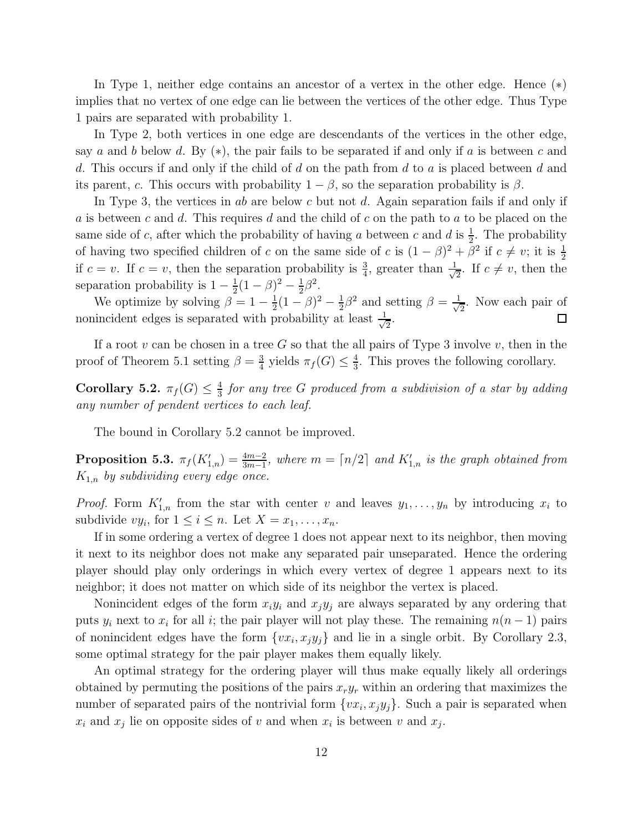In Type 1, neither edge contains an ancestor of a vertex in the other edge. Hence (∗) implies that no vertex of one edge can lie between the vertices of the other edge. Thus Type 1 pairs are separated with probability 1.

In Type 2, both vertices in one edge are descendants of the vertices in the other edge, say a and b below d. By  $(*)$ , the pair fails to be separated if and only if a is between c and d. This occurs if and only if the child of d on the path from d to a is placed between d and its parent, c. This occurs with probability  $1 - \beta$ , so the separation probability is  $\beta$ .

In Type 3, the vertices in ab are below c but not d. Again separation fails if and only if a is between c and d. This requires d and the child of c on the path to a to be placed on the same side of c, after which the probability of having a between c and d is  $\frac{1}{2}$ . The probability of having two specified children of c on the same side of c is  $(1 - \beta)^2 + \beta^2$  if  $c \neq v$ ; it is  $\frac{1}{2}$ if  $c = v$ . If  $c = v$ , then the separation probability is  $\frac{3}{4}$ , greater than  $\frac{1}{\sqrt{2}}$  $\frac{1}{2}$ . If  $c \neq v$ , then the separation probability is  $1 - \frac{1}{2}$  $\frac{1}{2}(1-\beta)^2-\frac{1}{2}$  $rac{1}{2}\beta^2$ .

We optimize by solving  $\beta = 1 - \frac{1}{2}$  $\frac{1}{2}(1-\beta)^2-\frac{1}{2}$  $\frac{1}{2}\beta^2$  and setting  $\beta = \frac{1}{\sqrt{2}}$  $\frac{1}{2}$ . Now each pair of nonincident edges is separated with probability at least  $\frac{1}{\sqrt{2}}$  $\frac{1}{2}$ .  $\Box$ 

If a root v can be chosen in a tree G so that the all pairs of Type 3 involve v, then in the proof of Theorem 5.1 setting  $\beta = \frac{3}{4}$  $\frac{3}{4}$  yields  $\pi_f(G) \leq \frac{4}{3}$  $\frac{4}{3}$ . This proves the following corollary.

Corollary 5.2.  $\pi_f(G) \leq \frac{4}{3}$ 3 *for any tree* G *produced from a subdivision of a star by adding any number of pendent vertices to each leaf.*

The bound in Corollary 5.2 cannot be improved.

**Proposition 5.3.**  $\pi_f(K'_{1,n}) = \frac{4m-2}{3m-1}$ , where  $m = \lceil n/2 \rceil$  and  $K'_{1,n}$  is the graph obtained from K1,n *by subdividing every edge once.*

*Proof.* Form  $K'_{1,n}$  from the star with center v and leaves  $y_1, \ldots, y_n$  by introducing  $x_i$  to subdivide  $vy_i$ , for  $1 \leq i \leq n$ . Let  $X = x_1, \ldots, x_n$ .

If in some ordering a vertex of degree 1 does not appear next to its neighbor, then moving it next to its neighbor does not make any separated pair unseparated. Hence the ordering player should play only orderings in which every vertex of degree 1 appears next to its neighbor; it does not matter on which side of its neighbor the vertex is placed.

Nonincident edges of the form  $x_i y_i$  and  $x_j y_j$  are always separated by any ordering that puts  $y_i$  next to  $x_i$  for all i; the pair player will not play these. The remaining  $n(n-1)$  pairs of nonincident edges have the form  $\{vx_i, x_jy_j\}$  and lie in a single orbit. By Corollary 2.3, some optimal strategy for the pair player makes them equally likely.

An optimal strategy for the ordering player will thus make equally likely all orderings obtained by permuting the positions of the pairs  $x<sub>r</sub>y<sub>r</sub>$  within an ordering that maximizes the number of separated pairs of the nontrivial form  $\{vx_i, x_jy_j\}$ . Such a pair is separated when  $x_i$  and  $x_j$  lie on opposite sides of v and when  $x_i$  is between v and  $x_j$ .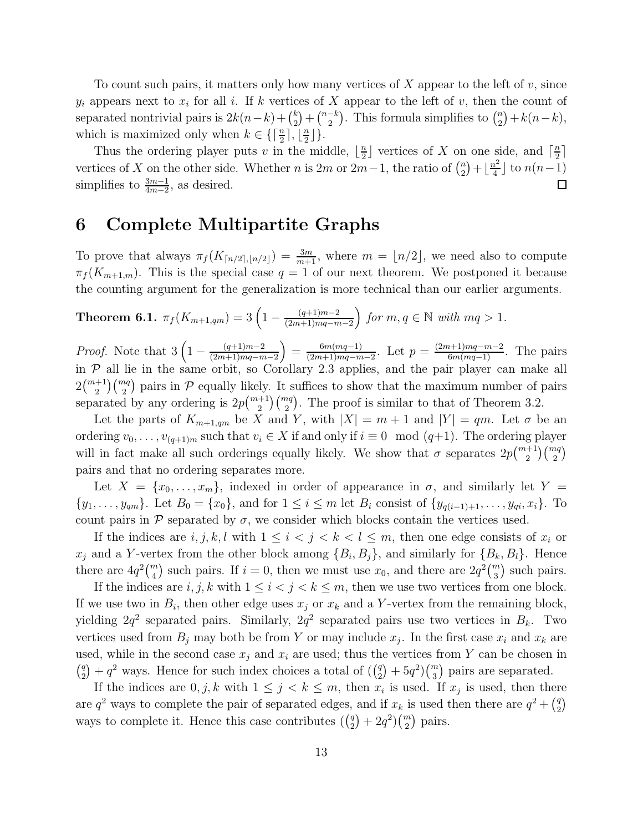To count such pairs, it matters only how many vertices of  $X$  appear to the left of  $v$ , since  $y_i$  appears next to  $x_i$  for all i. If k vertices of X appear to the left of v, then the count of separated nontrivial pairs is  $2k(n-k) + \binom{k}{2}$  $\binom{k}{2} + \binom{n-k}{2}$ . This formula simplifies to  $\binom{n}{2}$  $n \choose 2 + k(n-k),$ which is maximized only when  $k \in \left\{ \left\lceil \frac{n}{2} \right\rceil, \left\lfloor \frac{n}{2} \right\rfloor \right\}$  $\frac{n}{2}$ ].

Thus the ordering player puts v in the middle,  $\lfloor \frac{n}{2} \rfloor$  $\frac{n}{2}$  vertices of X on one side, and  $\lceil \frac{n}{2} \rceil$  $\frac{1}{2}$  $\binom{n}{2} + \lfloor \frac{n^2}{4} \rfloor$ vertices of X on the other side. Whether n is 2m or 2m−1, the ratio of  $\binom{n}{2}$  $\frac{n^2}{4}$  to  $n(n-1)$ simplifies to  $\frac{3m-1}{4m-2}$ , as desired.  $\Box$ 

### 6 Complete Multipartite Graphs

To prove that always  $\pi_f(K_{\lceil n/2 \rceil, \lfloor n/2 \rfloor}) = \frac{3m}{m+1}$ , where  $m = \lfloor n/2 \rfloor$ , we need also to compute  $\pi_f(K_{m+1,m})$ . This is the special case  $q=1$  of our next theorem. We postponed it because the counting argument for the generalization is more technical than our earlier arguments.

**Theorem 6.1.** 
$$
\pi_f(K_{m+1,qm}) = 3\left(1 - \frac{(q+1)m-2}{(2m+1)mq-m-2}\right)
$$
 for  $m, q \in \mathbb{N}$  with  $mq > 1$ .

*Proof.* Note that  $3\left(1 - \frac{(q+1)m-2}{(2m+1)mq-m}\right)$  $(2m+1)mq-m-2$  $= \frac{6m(mq-1)}{(2m+1)mq-m}$  $\frac{6m(mq-1)}{(2m+1)mq-m-2}$ . Let  $p = \frac{(2m+1)mq-m-2}{6m(mq-1)}$ . The pairs in  $P$  all lie in the same orbit, so Corollary 2.3 applies, and the pair player can make all  $2\binom{m+1}{2}\binom{mq}{2}$  pairs in P equally likely. It suffices to show that the maximum number of pairs separated by any ordering is  $2p\binom{m+1}{2}\binom{mq}{2}$ . The proof is similar to that of Theorem 3.2.

Let the parts of  $K_{m+1,qm}$  be X and Y, with  $|X| = m+1$  and  $|Y| = qm$ . Let  $\sigma$  be an ordering  $v_0, \ldots, v_{(q+1)m}$  such that  $v_i \in X$  if and only if  $i \equiv 0 \mod (q+1)$ . The ordering player will in fact make all such orderings equally likely. We show that  $\sigma$  separates  $2p\binom{m+1}{2}\binom{mq}{2}$ pairs and that no ordering separates more.

Let  $X = \{x_0, \ldots, x_m\}$ , indexed in order of appearance in  $\sigma$ , and similarly let  $Y =$  $\{y_1, \ldots, y_{qm}\}\.$  Let  $B_0 = \{x_0\}\.$  and for  $1 \leq i \leq m$  let  $B_i$  consist of  $\{y_{q(i-1)+1}, \ldots, y_{qi}, x_i\}\.$  To count pairs in  $\mathcal P$  separated by  $\sigma$ , we consider which blocks contain the vertices used.

If the indices are  $i, j, k, l$  with  $1 \leq i < j < k < l \leq m$ , then one edge consists of  $x_i$  or  $x_j$  and a Y-vertex from the other block among  $\{B_i, B_j\}$ , and similarly for  $\{B_k, B_l\}$ . Hence there are  $4q^2\binom{m}{4}$  such pairs. If  $i=0$ , then we must use  $x_0$ , and there are  $2q^2\binom{m}{3}$  such pairs.

If the indices are  $i, j, k$  with  $1 \leq i < j < k \leq m$ , then we use two vertices from one block. If we use two in  $B_i$ , then other edge uses  $x_j$  or  $x_k$  and a Y-vertex from the remaining block, yielding  $2q^2$  separated pairs. Similarly,  $2q^2$  separated pairs use two vertices in  $B_k$ . Two vertices used from  $B_j$  may both be from Y or may include  $x_j$ . In the first case  $x_i$  and  $x_k$  are used, while in the second case  $x_j$  and  $x_i$  are used; thus the vertices from Y can be chosen in  $\binom{q}{2}$  $\binom{q}{2} + q^2$  ways. Hence for such index choices a total of  $\left(\binom{q}{2}\right)$  $\binom{q}{2} + 5q^2 \binom{m}{3}$  pairs are separated.

If the indices are  $0, j, k$  with  $1 \leq j \leq k \leq m$ , then  $x_i$  is used. If  $x_j$  is used, then there are  $q^2$  ways to complete the pair of separated edges, and if  $x_k$  is used then there are  $q^2 + \binom{q}{2}$  $\binom{q}{2}$ ways to complete it. Hence this case contributes  $\binom{q}{2}$  $_{2}^{q}$  $)+2q^{2}$  $\binom{m}{2}$  pairs.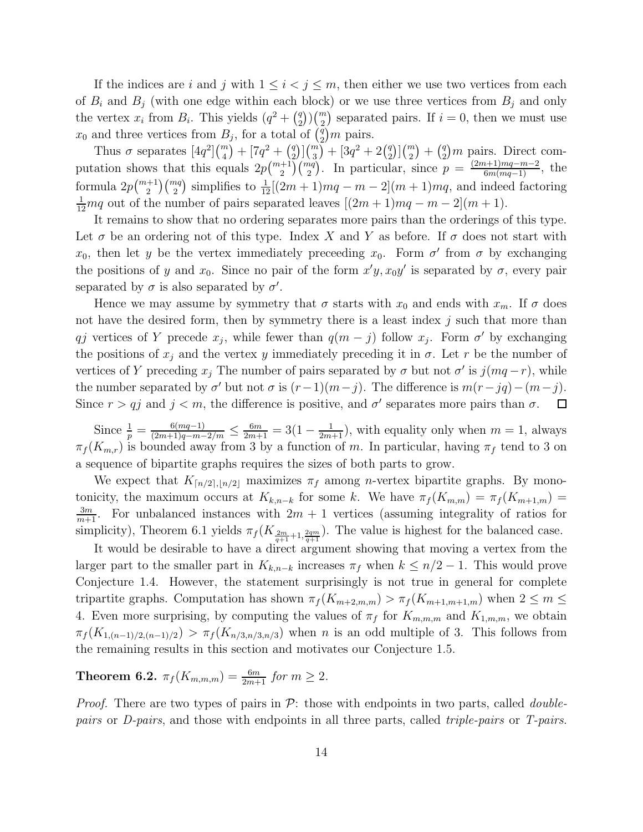If the indices are i and j with  $1 \leq i < j \leq m$ , then either we use two vertices from each of  $B_i$  and  $B_j$  (with one edge within each block) or we use three vertices from  $B_j$  and only the vertex  $x_i$  from  $B_i$ . This yields  $\left(q^2+\binom{q}{2}\right)$  $\binom{q}{2}\binom{m}{2}$  separated pairs. If  $i=0$ , then we must use  $x_0$  and three vertices from  $B_j$ , for a total of  $\binom{q}{2}$  $_2^q$  $)m$  pairs.

Thus  $\sigma$  separates  $[4q^2] {m \choose 4} + [7q^2 + {q \choose 2}]$  $\binom{q}{2}$  $\binom{m}{3}$  +  $\left[3q^2+2\binom{q}{2}\right]$  $\binom{q}{2}$  $\binom{m}{2} + \binom{q}{2}$  $\binom{q}{2}m$  pairs. Direct computation shows that this equals  $2p\binom{m+1}{2}\binom{mq}{2}$ . In particular, since  $p = \frac{(2m+1)mq-m-2}{6m(mq-1)}$ , the formula  $2p\binom{m+1}{2}\binom{mq}{2}$  simplifies to  $\frac{1}{12}[(2m+1)mq - m - 2](m+1)mq$ , and indeed factoring  $\frac{1}{12}mq$  out of the number of pairs separated leaves  $[(2m+1)mq-m-2](m+1)$ .

It remains to show that no ordering separates more pairs than the orderings of this type. Let  $\sigma$  be an ordering not of this type. Index X and Y as before. If  $\sigma$  does not start with  $x_0$ , then let y be the vertex immediately preceeding  $x_0$ . Form  $\sigma'$  from  $\sigma$  by exchanging the positions of y and  $x_0$ . Since no pair of the form  $x'y, x_0y'$  is separated by  $\sigma$ , every pair separated by  $\sigma$  is also separated by  $\sigma'$ .

Hence we may assume by symmetry that  $\sigma$  starts with  $x_0$  and ends with  $x_m$ . If  $\sigma$  does not have the desired form, then by symmetry there is a least index  $j$  such that more than qj vertices of Y precede  $x_j$ , while fewer than  $q(m-j)$  follow  $x_j$ . Form  $\sigma'$  by exchanging the positions of  $x_j$  and the vertex y immediately preceding it in  $\sigma$ . Let r be the number of vertices of Y preceding  $x_j$  The number of pairs separated by  $\sigma$  but not  $\sigma'$  is  $j(mq-r)$ , while the number separated by  $\sigma'$  but not  $\sigma$  is  $(r-1)(m-j)$ . The difference is  $m(r-jq)-(m-j)$ . Since  $r > qj$  and  $j < m$ , the difference is positive, and  $\sigma'$  separates more pairs than  $\sigma$ .  $\Box$ 

Since  $\frac{1}{p} = \frac{6(mq-1)}{(2m+1)q-m-2/m} \le \frac{6m}{2m+1} = 3(1-\frac{1}{2m+1})$ , with equality only when  $m = 1$ , always  $\pi_f(K_{m,r})$  is bounded away from 3 by a function of m. In particular, having  $\pi_f$  tend to 3 on a sequence of bipartite graphs requires the sizes of both parts to grow.

We expect that  $K_{\lceil n/2 \rceil, \lfloor n/2 \rfloor}$  maximizes  $\pi_f$  among *n*-vertex bipartite graphs. By monotonicity, the maximum occurs at  $K_{k,n-k}$  for some k. We have  $\pi_f(K_{m,m}) = \pi_f(K_{m+1,m})$  $\frac{3m}{m+1}$ . For unbalanced instances with  $2m+1$  vertices (assuming integrality of ratios for simplicity), Theorem 6.1 yields  $\pi_f(K_{\frac{2m}{q+1}+1,\frac{2qm}{q+1}})$ . The value is highest for the balanced case.

It would be desirable to have a direct argument showing that moving a vertex from the larger part to the smaller part in  $K_{k,n-k}$  increases  $\pi_f$  when  $k \leq n/2 - 1$ . This would prove Conjecture 1.4. However, the statement surprisingly is not true in general for complete tripartite graphs. Computation has shown  $\pi_f(K_{m+2,m,m}) > \pi_f(K_{m+1,m+1,m})$  when  $2 \leq m \leq$ 4. Even more surprising, by computing the values of  $\pi_f$  for  $K_{m,m,m}$  and  $K_{1,m,m}$ , we obtain  $\pi_f(K_{1,(n-1)/2,(n-1)/2}) > \pi_f(K_{n/3,n/3,n/3})$  when n is an odd multiple of 3. This follows from the remaining results in this section and motivates our Conjecture 1.5.

**Theorem 6.2.**  $\pi_f(K_{m,m,m}) = \frac{6m}{2m+1}$  for  $m \geq 2$ .

*Proof.* There are two types of pairs in P: those with endpoints in two parts, called *doublepairs* or *D-pairs*, and those with endpoints in all three parts, called *triple-pairs* or *T-pairs*.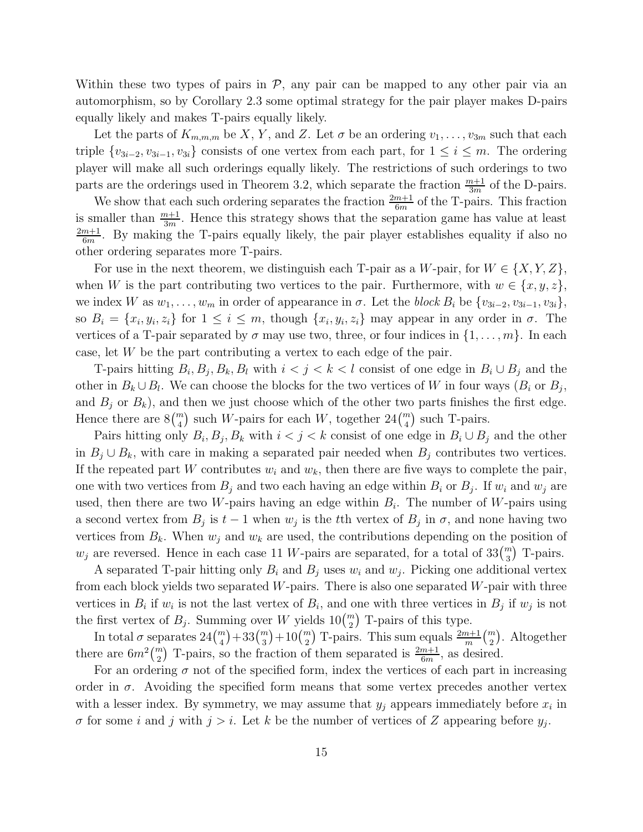Within these two types of pairs in  $P$ , any pair can be mapped to any other pair via an automorphism, so by Corollary 2.3 some optimal strategy for the pair player makes D-pairs equally likely and makes T-pairs equally likely.

Let the parts of  $K_{m,m,m}$  be X, Y, and Z. Let  $\sigma$  be an ordering  $v_1, \ldots, v_{3m}$  such that each triple  $\{v_{3i-2}, v_{3i-1}, v_{3i}\}$  consists of one vertex from each part, for  $1 \le i \le m$ . The ordering player will make all such orderings equally likely. The restrictions of such orderings to two parts are the orderings used in Theorem 3.2, which separate the fraction  $\frac{m+1}{3m}$  of the D-pairs.

We show that each such ordering separates the fraction  $\frac{2m+1}{6m}$  of the T-pairs. This fraction is smaller than  $\frac{m+1}{3m}$ . Hence this strategy shows that the separation game has value at least  $2m+1$  $\frac{m+1}{6m}$ . By making the T-pairs equally likely, the pair player establishes equality if also no other ordering separates more T-pairs.

For use in the next theorem, we distinguish each T-pair as a W-pair, for  $W \in \{X, Y, Z\}$ , when W is the part contributing two vertices to the pair. Furthermore, with  $w \in \{x, y, z\}$ , we index W as  $w_1, \ldots, w_m$  in order of appearance in  $\sigma$ . Let the *block*  $B_i$  be  $\{v_{3i-2}, v_{3i-1}, v_{3i}\},\$ so  $B_i = \{x_i, y_i, z_i\}$  for  $1 \leq i \leq m$ , though  $\{x_i, y_i, z_i\}$  may appear in any order in  $\sigma$ . The vertices of a T-pair separated by  $\sigma$  may use two, three, or four indices in  $\{1, \ldots, m\}$ . In each case, let W be the part contributing a vertex to each edge of the pair.

T-pairs hitting  $B_i, B_j, B_k, B_l$  with  $i < j < k < l$  consist of one edge in  $B_i \cup B_j$  and the other in  $B_k \cup B_l$ . We can choose the blocks for the two vertices of W in four ways  $(B_i \text{ or } B_j,$ and  $B_j$  or  $B_k$ ), and then we just choose which of the other two parts finishes the first edge. Hence there are  $8\binom{m}{4}$  such W-pairs for each W, together  $24\binom{m}{4}$  such T-pairs.

Pairs hitting only  $B_i$ ,  $B_j$ ,  $B_k$  with  $i < j < k$  consist of one edge in  $B_i \cup B_j$  and the other in  $B_j \cup B_k$ , with care in making a separated pair needed when  $B_j$  contributes two vertices. If the repeated part W contributes  $w_i$  and  $w_k$ , then there are five ways to complete the pair, one with two vertices from  $B_j$  and two each having an edge within  $B_i$  or  $B_j$ . If  $w_i$  and  $w_j$  are used, then there are two W-pairs having an edge within  $B_i$ . The number of W-pairs using a second vertex from  $B_j$  is  $t-1$  when  $w_j$  is the tth vertex of  $B_j$  in  $\sigma$ , and none having two vertices from  $B_k$ . When  $w_j$  and  $w_k$  are used, the contributions depending on the position of  $w_j$  are reversed. Hence in each case 11 W-pairs are separated, for a total of  $33\binom{m}{3}$  T-pairs.

A separated T-pair hitting only  $B_i$  and  $B_j$  uses  $w_i$  and  $w_j$ . Picking one additional vertex from each block yields two separated  $W$ -pairs. There is also one separated  $W$ -pair with three vertices in  $B_i$  if  $w_i$  is not the last vertex of  $B_i$ , and one with three vertices in  $B_j$  if  $w_j$  is not the first vertex of  $B_j$ . Summing over W yields  $10\binom{m}{2}$  T-pairs of this type.

In total  $\sigma$  separates  $24\binom{m}{4}+33\binom{m}{3}+10\binom{m}{2}$  T-pairs. This sum equals  $\frac{2m+1}{m}\binom{m}{2}$ . Altogether there are  $6m^2\binom{m}{2}$  T-pairs, so the fraction of them separated is  $\frac{2m+1}{6m}$ , as desired.

For an ordering  $\sigma$  not of the specified form, index the vertices of each part in increasing order in  $\sigma$ . Avoiding the specified form means that some vertex precedes another vertex with a lesser index. By symmetry, we may assume that  $y_j$  appears immediately before  $x_i$  in  $\sigma$  for some *i* and *j* with  $j > i$ . Let *k* be the number of vertices of *Z* appearing before  $y_j$ .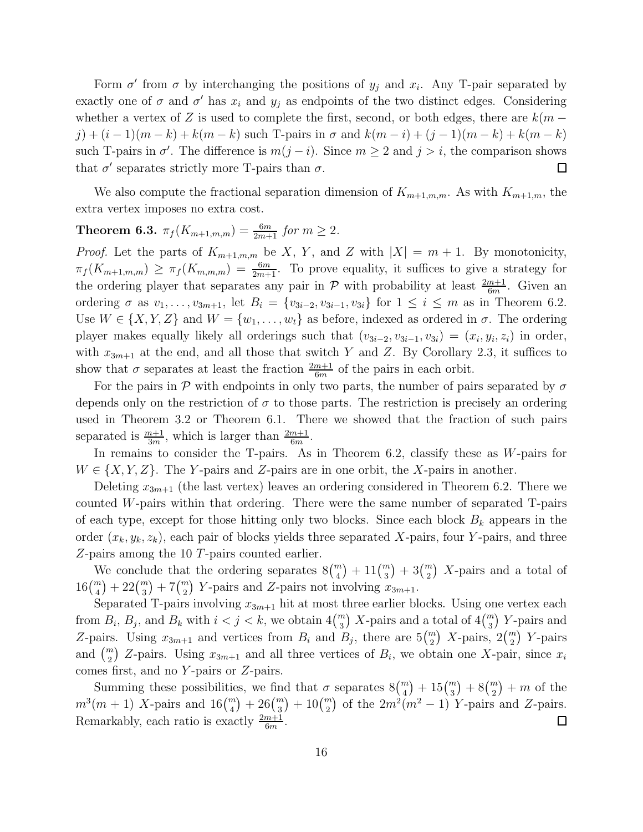Form  $\sigma'$  from  $\sigma$  by interchanging the positions of  $y_j$  and  $x_i$ . Any T-pair separated by exactly one of  $\sigma$  and  $\sigma'$  has  $x_i$  and  $y_j$  as endpoints of the two distinct edges. Considering whether a vertex of Z is used to complete the first, second, or both edges, there are  $k(m$  $j + (i-1)(m-k) + k(m-k)$  such T-pairs in  $\sigma$  and  $k(m-i) + (j-1)(m-k) + k(m-k)$ such T-pairs in  $\sigma'$ . The difference is  $m(j - i)$ . Since  $m \ge 2$  and  $j > i$ , the comparison shows that  $\sigma'$  separates strictly more T-pairs than  $\sigma$ .  $\Box$ 

We also compute the fractional separation dimension of  $K_{m+1,m,m}$ . As with  $K_{m+1,m}$ , the extra vertex imposes no extra cost.

## **Theorem 6.3.**  $\pi_f(K_{m+1,m,m}) = \frac{6m}{2m+1}$  for  $m \geq 2$ .

*Proof.* Let the parts of  $K_{m+1,m,m}$  be X, Y, and Z with  $|X| = m + 1$ . By monotonicity,  $\pi_f(K_{m+1,m,m}) \geq \pi_f(K_{m,m,m}) = \frac{6m}{2m+1}$ . To prove equality, it suffices to give a strategy for the ordering player that separates any pair in  $P$  with probability at least  $\frac{2m+1}{6m}$ . Given an ordering  $\sigma$  as  $v_1, \ldots, v_{3m+1}$ , let  $B_i = \{v_{3i-2}, v_{3i-1}, v_{3i}\}$  for  $1 \le i \le m$  as in Theorem 6.2. Use  $W \in \{X, Y, Z\}$  and  $W = \{w_1, \ldots, w_t\}$  as before, indexed as ordered in  $\sigma$ . The ordering player makes equally likely all orderings such that  $(v_{3i-2}, v_{3i-1}, v_{3i}) = (x_i, y_i, z_i)$  in order, with  $x_{3m+1}$  at the end, and all those that switch Y and Z. By Corollary 2.3, it suffices to show that  $\sigma$  separates at least the fraction  $\frac{2m+1}{6m}$  of the pairs in each orbit.

For the pairs in P with endpoints in only two parts, the number of pairs separated by  $\sigma$ depends only on the restriction of  $\sigma$  to those parts. The restriction is precisely an ordering used in Theorem 3.2 or Theorem 6.1. There we showed that the fraction of such pairs separated is  $\frac{m+1}{3m}$ , which is larger than  $\frac{2m+1}{6m}$ .

In remains to consider the T-pairs. As in Theorem 6.2, classify these as W-pairs for  $W \in \{X, Y, Z\}$ . The Y-pairs and Z-pairs are in one orbit, the X-pairs in another.

Deleting  $x_{3m+1}$  (the last vertex) leaves an ordering considered in Theorem 6.2. There we counted W-pairs within that ordering. There were the same number of separated T-pairs of each type, except for those hitting only two blocks. Since each block  $B_k$  appears in the order  $(x_k, y_k, z_k)$ , each pair of blocks yields three separated X-pairs, four Y-pairs, and three Z-pairs among the 10 T-pairs counted earlier.

We conclude that the ordering separates  $8\binom{m}{4} + 11\binom{m}{3} + 3\binom{m}{2}$  X-pairs and a total of  $16\binom{m}{4} + 22\binom{m}{3} + 7\binom{m}{2}$  Y-pairs and Z-pairs not involving  $x_{3m+1}$ .

Separated T-pairs involving  $x_{3m+1}$  hit at most three earlier blocks. Using one vertex each from  $B_i$ ,  $B_j$ , and  $B_k$  with  $i < j < k$ , we obtain  $4\binom{m}{3}$  X-pairs and a total of  $4\binom{m}{3}$  Y-pairs and Z-pairs. Using  $x_{3m+1}$  and vertices from  $B_i$  and  $B_j$ , there are  $5\binom{m}{2}$  X-pairs,  $2\binom{m}{2}$  Y-pairs and  $\binom{m}{2}$  Z-pairs. Using  $x_{3m+1}$  and all three vertices of  $B_i$ , we obtain one X-pair, since  $x_i$ comes first, and no Y -pairs or Z-pairs.

Summing these possibilities, we find that  $\sigma$  separates  $8\binom{m}{4} + 15\binom{m}{3} + 8\binom{m}{2} + m$  of the  $m^3(m+1)$  X-pairs and  $16\binom{m}{4} + 26\binom{m}{3} + 10\binom{m}{2}$  of the  $2m^2(m^2-1)$  Y-pairs and Z-pairs. Remarkably, each ratio is exactly  $\frac{2m+1}{6m}$ .  $\Box$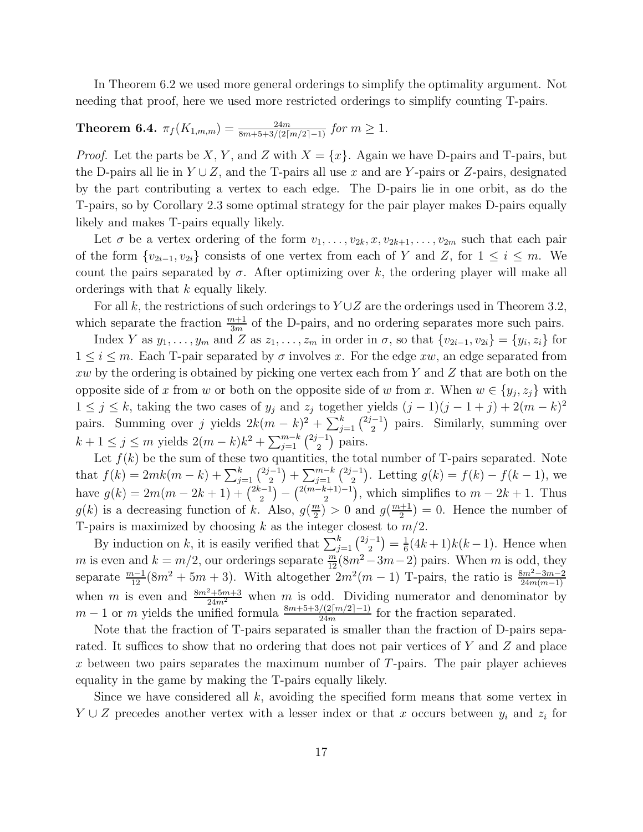In Theorem 6.2 we used more general orderings to simplify the optimality argument. Not needing that proof, here we used more restricted orderings to simplify counting T-pairs.

# **Theorem 6.4.**  $\pi_f(K_{1,m,m}) = \frac{24m}{8m+5+3/(2\lceil m/2 \rceil-1)}$  for  $m \geq 1$ .

*Proof.* Let the parts be X, Y, and Z with  $X = \{x\}$ . Again we have D-pairs and T-pairs, but the D-pairs all lie in  $Y \cup Z$ , and the T-pairs all use x and are Y-pairs or Z-pairs, designated by the part contributing a vertex to each edge. The D-pairs lie in one orbit, as do the T-pairs, so by Corollary 2.3 some optimal strategy for the pair player makes D-pairs equally likely and makes T-pairs equally likely.

Let  $\sigma$  be a vertex ordering of the form  $v_1, \ldots, v_{2k}, x, v_{2k+1}, \ldots, v_{2m}$  such that each pair of the form  $\{v_{2i-1}, v_{2i}\}$  consists of one vertex from each of Y and Z, for  $1 \le i \le m$ . We count the pairs separated by  $\sigma$ . After optimizing over k, the ordering player will make all orderings with that k equally likely.

For all k, the restrictions of such orderings to  $Y\cup Z$  are the orderings used in Theorem 3.2, which separate the fraction  $\frac{m+1}{3m}$  of the D-pairs, and no ordering separates more such pairs.

Index Y as  $y_1, \ldots, y_m$  and Z as  $z_1, \ldots, z_m$  in order in  $\sigma$ , so that  $\{v_{2i-1}, v_{2i}\} = \{y_i, z_i\}$  for  $1 \leq i \leq m$ . Each T-pair separated by  $\sigma$  involves x. For the edge xw, an edge separated from xw by the ordering is obtained by picking one vertex each from Y and Z that are both on the opposite side of x from w or both on the opposite side of w from x. When  $w \in \{y_j, z_j\}$  with  $1 \leq j \leq k$ , taking the two cases of  $y_j$  and  $z_j$  together yields  $(j-1)(j-1+j) + 2(m-k)^2$ pairs. Summing over j yields  $2k(m-k)^2 + \sum_{j=1}^k {\binom{2j-1}{2}}$  pairs. Similarly, summing over  $k + 1 \le j \le m$  yields  $2(m - k)k^2 + \sum_{j=1}^{m-k} {2j-1 \choose 2}$  pairs.

Let  $f(k)$  be the sum of these two quantities, the total number of T-pairs separated. Note that  $f(k) = 2mk(m-k) + \sum_{j=1}^{k} {2j-1 \choose 2} + \sum_{j=1}^{m-k} {2j-1 \choose 2}$ . Letting  $g(k) = f(k) - f(k-1)$ , we have  $g(k) = 2m(m - 2k + 1) + {2k-1 \choose 2} - {2(m-k+1)-1 \choose 2}$ , which simplifies to  $m - 2k + 1$ . Thus  $g(k)$  is a decreasing function of k. Also,  $g(\frac{m}{2})$  $\frac{m}{2}$ ) > 0 and  $g(\frac{m+1}{2})$  $\frac{+1}{2}$ ) = 0. Hence the number of T-pairs is maximized by choosing k as the integer closest to  $m/2$ .

By induction on k, it is easily verified that  $\sum_{j=1}^{k} {\binom{2j-1}{2}} = \frac{1}{6}$  $\frac{1}{6}(4k+1)k(k-1)$ . Hence when m is even and  $k = m/2$ , our orderings separate  $\frac{m}{12}(8m^2 - 3m - 2)$  pairs. When m is odd, they separate  $\frac{m-1}{12}(8m^2+5m+3)$ . With altogether  $2m^2(m-1)$  T-pairs, the ratio is  $\frac{8m^2-3m-2}{24m(m-1)}$ when m is even and  $\frac{8m^2+5m+3}{24m^2}$  when m is odd. Dividing numerator and denominator by  $m-1$  or m yields the unified formula  $\frac{8m+5+3/(2\lceil m/2 \rceil-1)}{24m}$  for the fraction separated.

Note that the fraction of T-pairs separated is smaller than the fraction of D-pairs separated. It suffices to show that no ordering that does not pair vertices of Y and Z and place x between two pairs separates the maximum number of  $T$ -pairs. The pair player achieves equality in the game by making the T-pairs equally likely.

Since we have considered all  $k$ , avoiding the specified form means that some vertex in  $Y \cup Z$  precedes another vertex with a lesser index or that x occurs between  $y_i$  and  $z_i$  for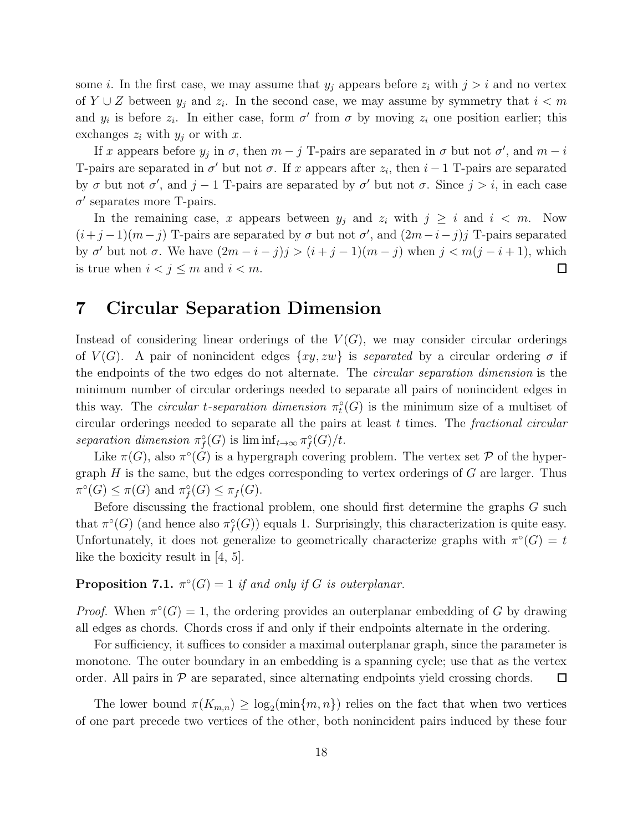some *i*. In the first case, we may assume that  $y_j$  appears before  $z_i$  with  $j > i$  and no vertex of  $Y \cup Z$  between  $y_j$  and  $z_i$ . In the second case, we may assume by symmetry that  $i < m$ and  $y_i$  is before  $z_i$ . In either case, form  $\sigma'$  from  $\sigma$  by moving  $z_i$  one position earlier; this exchanges  $z_i$  with  $y_j$  or with x.

If x appears before  $y_j$  in  $\sigma$ , then  $m - j$  T-pairs are separated in  $\sigma$  but not  $\sigma'$ , and  $m - i$ T-pairs are separated in  $\sigma'$  but not  $\sigma$ . If x appears after  $z_i$ , then  $i-1$  T-pairs are separated by  $\sigma$  but not  $\sigma'$ , and  $j-1$  T-pairs are separated by  $\sigma'$  but not  $\sigma$ . Since  $j > i$ , in each case  $\sigma'$  separates more T-pairs.

In the remaining case, x appears between  $y_i$  and  $z_i$  with  $j \geq i$  and  $i < m$ . Now  $(i+j-1)(m-j)$  T-pairs are separated by  $\sigma$  but not  $\sigma'$ , and  $(2m-i-j)j$  T-pairs separated by  $\sigma'$  but not  $\sigma$ . We have  $(2m - i - j)j > (i + j - 1)(m - j)$  when  $j < m(j - i + 1)$ , which is true when  $i < j \leq m$  and  $i < m$ .  $\Box$ 

### 7 Circular Separation Dimension

Instead of considering linear orderings of the  $V(G)$ , we may consider circular orderings of  $V(G)$ . A pair of nonincident edges  $\{xy, zw\}$  is *separated* by a circular ordering  $\sigma$  if the endpoints of the two edges do not alternate. The *circular separation dimension* is the minimum number of circular orderings needed to separate all pairs of nonincident edges in this way. The *circular t-separation dimension*  $\pi_t^{\circ}(G)$  is the minimum size of a multiset of circular orderings needed to separate all the pairs at least t times. The *fractional circular separation dimension*  $\pi_f^{\circ}(G)$  is  $\liminf_{t\to\infty} \pi_f^{\circ}(G)/t$ .

Like  $\pi(G)$ , also  $\pi^{\circ}(G)$  is a hypergraph covering problem. The vertex set  $P$  of the hypergraph  $H$  is the same, but the edges corresponding to vertex orderings of  $G$  are larger. Thus  $\pi^{\circ}(G) \leq \pi(G)$  and  $\pi_f^{\circ}(G) \leq \pi_f(G)$ .

Before discussing the fractional problem, one should first determine the graphs G such that  $\pi^{\circ}(G)$  (and hence also  $\pi^{\circ}(G)$ ) equals 1. Surprisingly, this characterization is quite easy. Unfortunately, it does not generalize to geometrically characterize graphs with  $\pi^{\circ}(G) = t$ like the boxicity result in [4, 5].

#### **Proposition 7.1.**  $\pi^{\circ}(G) = 1$  *if and only if* G *is outerplanar.*

*Proof.* When  $\pi^{\circ}(G) = 1$ , the ordering provides an outerplanar embedding of G by drawing all edges as chords. Chords cross if and only if their endpoints alternate in the ordering.

For sufficiency, it suffices to consider a maximal outerplanar graph, since the parameter is monotone. The outer boundary in an embedding is a spanning cycle; use that as the vertex order. All pairs in  $\mathcal P$  are separated, since alternating endpoints yield crossing chords. ப

The lower bound  $\pi(K_{m,n}) \geq \log_2(\min\{m,n\})$  relies on the fact that when two vertices of one part precede two vertices of the other, both nonincident pairs induced by these four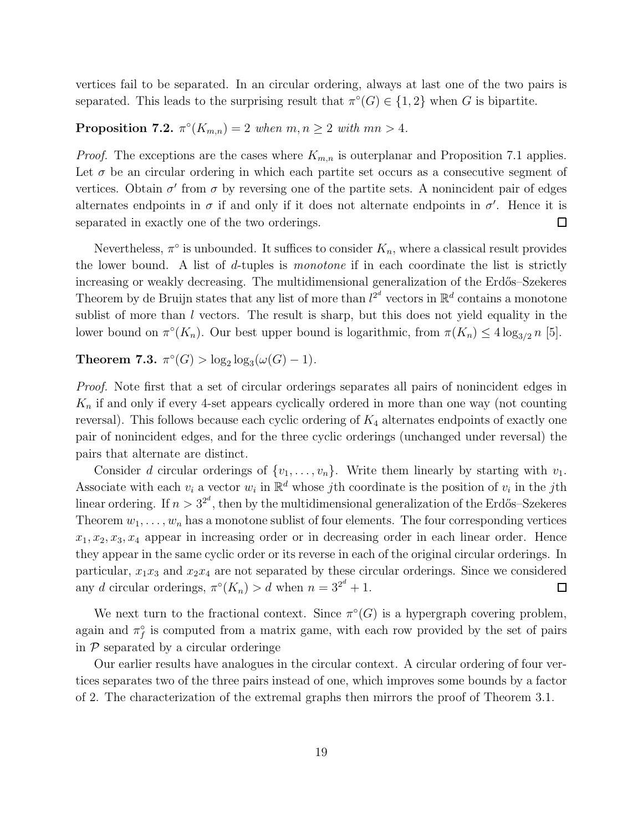vertices fail to be separated. In an circular ordering, always at last one of the two pairs is separated. This leads to the surprising result that  $\pi^{\circ}(G) \in \{1,2\}$  when G is bipartite.

Proposition 7.2.  $\pi^{\circ}(K_{m,n}) = 2$  when  $m, n \geq 2$  with  $mn > 4$ .

*Proof.* The exceptions are the cases where  $K_{m,n}$  is outerplanar and Proposition 7.1 applies. Let  $\sigma$  be an circular ordering in which each partite set occurs as a consecutive segment of vertices. Obtain  $\sigma'$  from  $\sigma$  by reversing one of the partite sets. A nonincident pair of edges alternates endpoints in  $\sigma$  if and only if it does not alternate endpoints in  $\sigma'$ . Hence it is separated in exactly one of the two orderings.  $\Box$ 

Nevertheless,  $\pi^{\circ}$  is unbounded. It suffices to consider  $K_n$ , where a classical result provides the lower bound. A list of d-tuples is *monotone* if in each coordinate the list is strictly increasing or weakly decreasing. The multidimensional generalization of the Erdős–Szekeres Theorem by de Bruijn states that any list of more than  $l^{2^d}$  vectors in  $\mathbb{R}^d$  contains a monotone sublist of more than l vectors. The result is sharp, but this does not yield equality in the lower bound on  $\pi^{\circ}(K_n)$ . Our best upper bound is logarithmic, from  $\pi(K_n) \leq 4 \log_{3/2} n$  [5].

**Theorem 7.3.**  $\pi^{\circ}(G) > \log_2 \log_3(\omega(G) - 1)$ .

*Proof.* Note first that a set of circular orderings separates all pairs of nonincident edges in  $K_n$  if and only if every 4-set appears cyclically ordered in more than one way (not counting reversal). This follows because each cyclic ordering of  $K_4$  alternates endpoints of exactly one pair of nonincident edges, and for the three cyclic orderings (unchanged under reversal) the pairs that alternate are distinct.

Consider d circular orderings of  $\{v_1, \ldots, v_n\}$ . Write them linearly by starting with  $v_1$ . Associate with each  $v_i$  a vector  $w_i$  in  $\mathbb{R}^d$  whose jth coordinate is the position of  $v_i$  in the jth linear ordering. If  $n > 3^{2^d}$ , then by the multidimensional generalization of the Erdős–Szekeres Theorem  $w_1, \ldots, w_n$  has a monotone sublist of four elements. The four corresponding vertices  $x_1, x_2, x_3, x_4$  appear in increasing order or in decreasing order in each linear order. Hence they appear in the same cyclic order or its reverse in each of the original circular orderings. In particular,  $x_1x_3$  and  $x_2x_4$  are not separated by these circular orderings. Since we considered any d circular orderings,  $\pi^{\circ}(K_n) > d$  when  $n = 3^{2^d} + 1$ .  $\Box$ 

We next turn to the fractional context. Since  $\pi^{\circ}(G)$  is a hypergraph covering problem, again and  $\pi_f^{\circ}$  is computed from a matrix game, with each row provided by the set of pairs in  $P$  separated by a circular orderinge

Our earlier results have analogues in the circular context. A circular ordering of four vertices separates two of the three pairs instead of one, which improves some bounds by a factor of 2. The characterization of the extremal graphs then mirrors the proof of Theorem 3.1.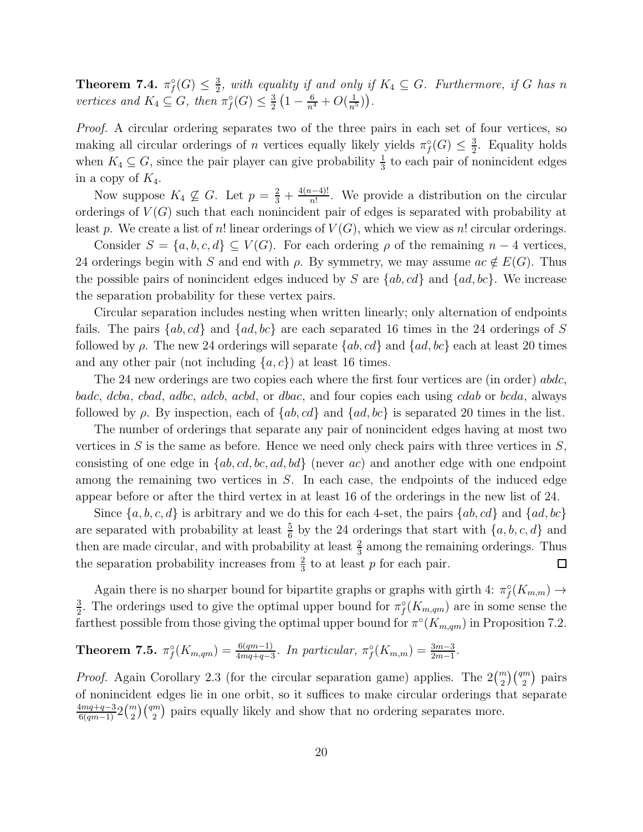Theorem 7.4.  $\pi_f^{\circ}(G) \leq \frac{3}{2}$  $\frac{3}{2}$ , with equality if and only if  $K_4 \subseteq G$ . Furthermore, if G has n *vertices and*  $K_4 \subseteq G$ *, then*  $\pi_f^{\circ}(G) \leq \frac{3}{2}$  $\frac{3}{2}\left(1-\frac{6}{n^4}+O(\frac{1}{n^5})\right).$ 

*Proof.* A circular ordering separates two of the three pairs in each set of four vertices, so making all circular orderings of *n* vertices equally likely yields  $\pi_f^{\circ}(G) \leq \frac{3}{2}$  $\frac{3}{2}$ . Equality holds when  $K_4 \subseteq G$ , since the pair player can give probability  $\frac{1}{3}$  to each pair of nonincident edges in a copy of  $K_4$ .

Now suppose  $K_4 \nsubseteq G$ . Let  $p = \frac{2}{3} + \frac{4(n-4)!}{n!}$ . We provide a distribution on the circular orderings of  $V(G)$  such that each nonincident pair of edges is separated with probability at least p. We create a list of n! linear orderings of  $V(G)$ , which we view as n! circular orderings.

Consider  $S = \{a, b, c, d\} \subseteq V(G)$ . For each ordering  $\rho$  of the remaining  $n-4$  vertices, 24 orderings begin with S and end with  $\rho$ . By symmetry, we may assume  $ac \notin E(G)$ . Thus the possible pairs of nonincident edges induced by S are  $\{ab, cd\}$  and  $\{ad, bc\}$ . We increase the separation probability for these vertex pairs.

Circular separation includes nesting when written linearly; only alternation of endpoints fails. The pairs  $\{ab, cd\}$  and  $\{ad, bc\}$  are each separated 16 times in the 24 orderings of S followed by  $\rho$ . The new 24 orderings will separate  $\{ab, cd\}$  and  $\{ad, bc\}$  each at least 20 times and any other pair (not including  $\{a, c\}$ ) at least 16 times.

The 24 new orderings are two copies each where the first four vertices are (in order) abdc, badc, dcba, cbad, adbc, adcb, acbd, or dbac, and four copies each using cdab or bcda, always followed by  $\rho$ . By inspection, each of  $\{ab, cd\}$  and  $\{ad, bc\}$  is separated 20 times in the list.

The number of orderings that separate any pair of nonincident edges having at most two vertices in  $S$  is the same as before. Hence we need only check pairs with three vertices in  $S$ , consisting of one edge in  $\{ab, cd, bc, ad, bd\}$  (never ac) and another edge with one endpoint among the remaining two vertices in S. In each case, the endpoints of the induced edge appear before or after the third vertex in at least 16 of the orderings in the new list of 24.

Since  $\{a, b, c, d\}$  is arbitrary and we do this for each 4-set, the pairs  $\{ab, cd\}$  and  $\{ad, bc\}$ are separated with probability at least  $\frac{5}{6}$  by the 24 orderings that start with  $\{a, b, c, d\}$  and then are made circular, and with probability at least  $\frac{2}{3}$  among the remaining orderings. Thus the separation probability increases from  $\frac{2}{3}$  to at least p for each pair.  $\Box$ 

Again there is no sharper bound for bipartite graphs or graphs with girth 4:  $\pi_f^{\circ}(K_{m,m}) \to$ 3  $\frac{3}{2}$ . The orderings used to give the optimal upper bound for  $\pi_f^{\circ}(K_{m,qm})$  are in some sense the farthest possible from those giving the optimal upper bound for  $\pi^{\circ}(K_{m,qm})$  in Proposition 7.2.

**Theorem 7.5.** 
$$
\pi_f^{\circ}(K_{m,qm}) = \frac{6(qm-1)}{4mq+q-3}
$$
. In particular,  $\pi_f^{\circ}(K_{m,m}) = \frac{3m-3}{2m-1}$ .

*Proof.* Again Corollary 2.3 (for the circular separation game) applies. The  $2\binom{m}{2}\binom{qm}{2}$  pairs of nonincident edges lie in one orbit, so it suffices to make circular orderings that separate  $\frac{4mq+q-3}{6(qm-1)}2\binom{m}{2}$  ( $\frac{qm}{2}$ ) pairs equally likely and show that no ordering separates more.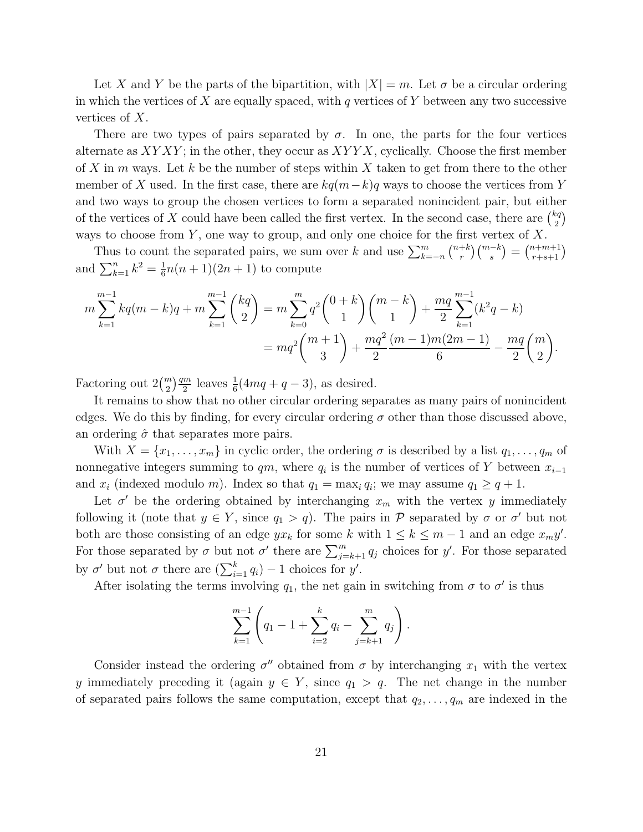Let X and Y be the parts of the bipartition, with  $|X| = m$ . Let  $\sigma$  be a circular ordering in which the vertices of X are equally spaced, with q vertices of Y between any two successive vertices of X.

There are two types of pairs separated by  $\sigma$ . In one, the parts for the four vertices alternate as  $XYXY$ ; in the other, they occur as  $XYYX$ , cyclically. Choose the first member of X in m ways. Let k be the number of steps within X taken to get from there to the other member of X used. In the first case, there are  $kq(m-k)q$  ways to choose the vertices from Y and two ways to group the chosen vertices to form a separated nonincident pair, but either of the vertices of X could have been called the first vertex. In the second case, there are  $\binom{kq}{2}$  $\binom{cq}{2}$ ways to choose from  $Y$ , one way to group, and only one choice for the first vertex of  $X$ .

Thus to count the separated pairs, we sum over k and use  $\sum_{k=-n}^{m} \binom{n+k}{r}$  $\binom{m-k}{r} \binom{m-k}{s} = \binom{n+m+1}{r+s+1}$ and  $\sum_{k=1}^{n} k^2 = \frac{1}{6}$  $\frac{1}{6}n(n+1)(2n+1)$  to compute

$$
m\sum_{k=1}^{m-1} kq(m-k)q + m\sum_{k=1}^{m-1} {kq \choose 2} = m\sum_{k=0}^{m} q^2 {0+k \choose 1} {m-k \choose 1} + \frac{mq}{2}\sum_{k=1}^{m-1} (k^2q - k)
$$
  
= 
$$
mq^2 {m+1 \choose 3} + \frac{mq^2}{2} \frac{(m-1)m(2m-1)}{6} - \frac{mq}{2} {m \choose 2}.
$$

Factoring out  $2\binom{m}{2}\frac{qm}{2}$  $\frac{m}{2}$  leaves  $\frac{1}{6}(4mq+q-3)$ , as desired.

It remains to show that no other circular ordering separates as many pairs of nonincident edges. We do this by finding, for every circular ordering  $\sigma$  other than those discussed above, an ordering  $\hat{\sigma}$  that separates more pairs.

With  $X = \{x_1, \ldots, x_m\}$  in cyclic order, the ordering  $\sigma$  is described by a list  $q_1, \ldots, q_m$  of nonnegative integers summing to  $qm$ , where  $q_i$  is the number of vertices of Y between  $x_{i-1}$ and  $x_i$  (indexed modulo m). Index so that  $q_1 = \max_i q_i$ ; we may assume  $q_1 \geq q+1$ .

Let  $\sigma'$  be the ordering obtained by interchanging  $x_m$  with the vertex y immediately following it (note that  $y \in Y$ , since  $q_1 > q$ ). The pairs in  $P$  separated by  $\sigma$  or  $\sigma'$  but not both are those consisting of an edge  $yx_k$  for some k with  $1 \le k \le m-1$  and an edge  $x_my'$ . For those separated by  $\sigma$  but not  $\sigma'$  there are  $\sum_{j=k+1}^{m} q_j$  choices for y'. For those separated by  $\sigma'$  but not  $\sigma$  there are  $(\sum_{i=1}^k q_i) - 1$  choices for y'.

After isolating the terms involving  $q_1$ , the net gain in switching from  $\sigma$  to  $\sigma'$  is thus

$$
\sum_{k=1}^{m-1} \left( q_1 - 1 + \sum_{i=2}^k q_i - \sum_{j=k+1}^m q_j \right).
$$

Consider instead the ordering  $\sigma''$  obtained from  $\sigma$  by interchanging  $x_1$  with the vertex y immediately preceding it (again  $y \in Y$ , since  $q_1 > q$ . The net change in the number of separated pairs follows the same computation, except that  $q_2, \ldots, q_m$  are indexed in the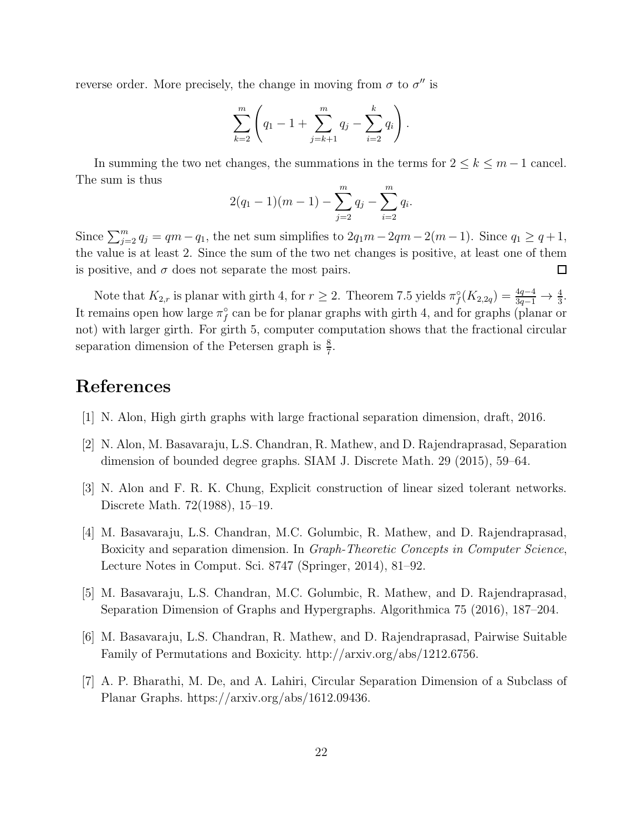reverse order. More precisely, the change in moving from  $\sigma$  to  $\sigma''$  is

$$
\sum_{k=2}^{m} \left( q_1 - 1 + \sum_{j=k+1}^{m} q_j - \sum_{i=2}^{k} q_i \right).
$$

In summing the two net changes, the summations in the terms for  $2 \leq k \leq m-1$  cancel. The sum is thus

$$
2(q_1-1)(m-1) - \sum_{j=2}^{m} q_j - \sum_{i=2}^{m} q_i.
$$

Since  $\sum_{j=2}^{m} q_j = qm - q_1$ , the net sum simplifies to  $2q_1m - 2qm - 2(m-1)$ . Since  $q_1 \ge q+1$ , the value is at least 2. Since the sum of the two net changes is positive, at least one of them is positive, and  $\sigma$  does not separate the most pairs.  $\Box$ 

Note that  $K_{2,r}$  is planar with girth 4, for  $r \geq 2$ . Theorem 7.5 yields  $\pi_f^{\circ}(K_{2,2q}) = \frac{4q-4}{3q-1} \to \frac{4}{3}$ . It remains open how large  $\pi_f^{\circ}$  can be for planar graphs with girth 4, and for graphs (planar or not) with larger girth. For girth 5, computer computation shows that the fractional circular separation dimension of the Petersen graph is  $\frac{8}{7}$ .

## References

- [1] N. Alon, High girth graphs with large fractional separation dimension, draft, 2016.
- [2] N. Alon, M. Basavaraju, L.S. Chandran, R. Mathew, and D. Rajendraprasad, Separation dimension of bounded degree graphs. SIAM J. Discrete Math. 29 (2015), 59–64.
- [3] N. Alon and F. R. K. Chung, Explicit construction of linear sized tolerant networks. Discrete Math. 72(1988), 15–19.
- [4] M. Basavaraju, L.S. Chandran, M.C. Golumbic, R. Mathew, and D. Rajendraprasad, Boxicity and separation dimension. In *Graph-Theoretic Concepts in Computer Science*, Lecture Notes in Comput. Sci. 8747 (Springer, 2014), 81–92.
- [5] M. Basavaraju, L.S. Chandran, M.C. Golumbic, R. Mathew, and D. Rajendraprasad, Separation Dimension of Graphs and Hypergraphs. Algorithmica 75 (2016), 187–204.
- [6] M. Basavaraju, L.S. Chandran, R. Mathew, and D. Rajendraprasad, Pairwise Suitable Family of Permutations and Boxicity. http://arxiv.org/abs/1212.6756.
- [7] A. P. Bharathi, M. De, and A. Lahiri, Circular Separation Dimension of a Subclass of Planar Graphs. https://arxiv.org/abs/1612.09436.